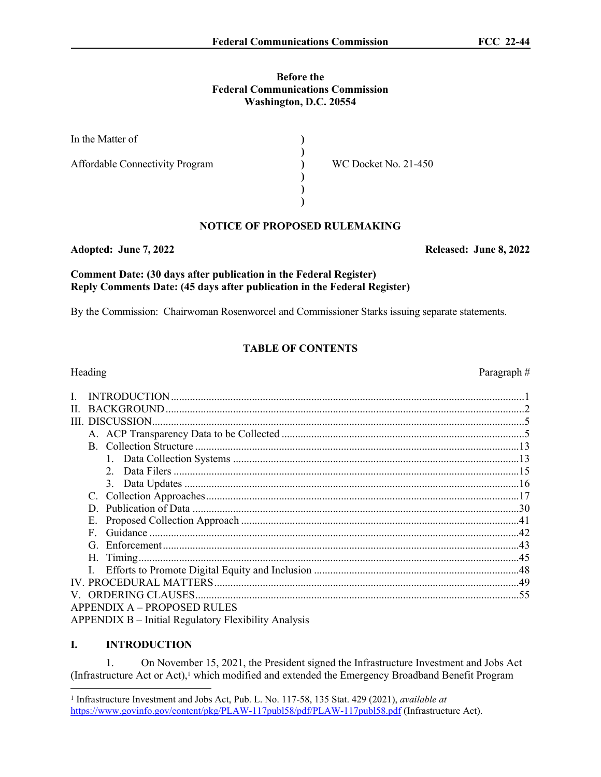#### **Before the Federal Communications Commission Washington, D.C. 20554**

| In the Matter of                       |                             |
|----------------------------------------|-----------------------------|
| <b>Affordable Connectivity Program</b> | <b>WC Docket No. 21-450</b> |
|                                        |                             |
|                                        |                             |

# **NOTICE OF PROPOSED RULEMAKING**

### **Adopted: June 7, 2022 Released: June 8, 2022**

## **Comment Date: (30 days after publication in the Federal Register) Reply Comments Date: (45 days after publication in the Federal Register)**

By the Commission: Chairwoman Rosenworcel and Commissioner Starks issuing separate statements.

# **TABLE OF CONTENTS**

|              | Heading                                                     | Paragraph# |
|--------------|-------------------------------------------------------------|------------|
| $\mathbf{I}$ |                                                             |            |
| П.           |                                                             |            |
|              |                                                             |            |
|              |                                                             |            |
|              |                                                             |            |
|              |                                                             |            |
|              |                                                             |            |
|              |                                                             |            |
|              |                                                             |            |
|              | D                                                           |            |
|              | Е.                                                          |            |
|              | F                                                           |            |
|              | G                                                           |            |
|              |                                                             |            |
|              |                                                             |            |
|              |                                                             |            |
|              |                                                             |            |
|              | <b>APPENDIX A - PROPOSED RULES</b>                          |            |
|              | <b>APPENDIX B</b> – Initial Regulatory Flexibility Analysis |            |

# **I. INTRODUCTION**

1. On November 15, 2021, the President signed the Infrastructure Investment and Jobs Act (Infrastructure Act or Act),<sup>1</sup> which modified and extended the Emergency Broadband Benefit Program

<sup>1</sup> Infrastructure Investment and Jobs Act, Pub. L. No. 117-58, 135 Stat. 429 (2021), *available at* <https://www.govinfo.gov/content/pkg/PLAW-117publ58/pdf/PLAW-117publ58.pdf>(Infrastructure Act).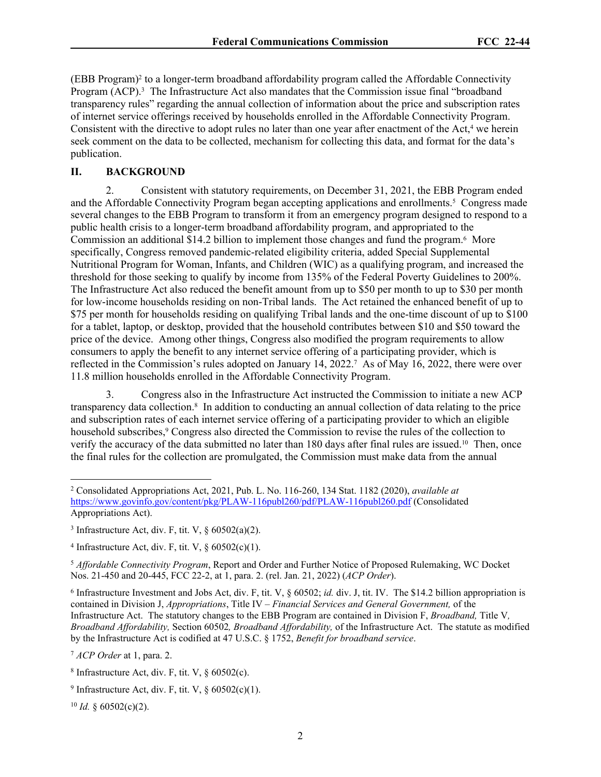(EBB Program)<sup>2</sup> to a longer-term broadband affordability program called the Affordable Connectivity Program (ACP).<sup>3</sup> The Infrastructure Act also mandates that the Commission issue final "broadband transparency rules" regarding the annual collection of information about the price and subscription rates of internet service offerings received by households enrolled in the Affordable Connectivity Program. Consistent with the directive to adopt rules no later than one year after enactment of the Act,<sup>4</sup> we herein seek comment on the data to be collected, mechanism for collecting this data, and format for the data's publication.

#### **II. BACKGROUND**

2. Consistent with statutory requirements, on December 31, 2021, the EBB Program ended and the Affordable Connectivity Program began accepting applications and enrollments.<sup>5</sup> Congress made several changes to the EBB Program to transform it from an emergency program designed to respond to a public health crisis to a longer-term broadband affordability program, and appropriated to the Commission an additional \$14.2 billion to implement those changes and fund the program.<sup>6</sup> More specifically, Congress removed pandemic-related eligibility criteria, added Special Supplemental Nutritional Program for Woman, Infants, and Children (WIC) as a qualifying program, and increased the threshold for those seeking to qualify by income from 135% of the Federal Poverty Guidelines to 200%. The Infrastructure Act also reduced the benefit amount from up to \$50 per month to up to \$30 per month for low-income households residing on non-Tribal lands. The Act retained the enhanced benefit of up to \$75 per month for households residing on qualifying Tribal lands and the one-time discount of up to \$100 for a tablet, laptop, or desktop, provided that the household contributes between \$10 and \$50 toward the price of the device. Among other things, Congress also modified the program requirements to allow consumers to apply the benefit to any internet service offering of a participating provider, which is reflected in the Commission's rules adopted on January 14, 2022.<sup>7</sup> As of May 16, 2022, there were over 11.8 million households enrolled in the Affordable Connectivity Program.

3. Congress also in the Infrastructure Act instructed the Commission to initiate a new ACP transparency data collection.<sup>8</sup> In addition to conducting an annual collection of data relating to the price and subscription rates of each internet service offering of a participating provider to which an eligible household subscribes,<sup>9</sup> Congress also directed the Commission to revise the rules of the collection to verify the accuracy of the data submitted no later than 180 days after final rules are issued.10 Then, once the final rules for the collection are promulgated, the Commission must make data from the annual

 $10$  *Id.* § 60502(c)(2).

<sup>2</sup> Consolidated Appropriations Act, 2021, Pub. L. No. 116-260, 134 Stat. 1182 (2020), *available at* <https://www.govinfo.gov/content/pkg/PLAW-116publ260/pdf/PLAW-116publ260.pdf>(Consolidated Appropriations Act).

<sup>&</sup>lt;sup>3</sup> Infrastructure Act, div. F, tit. V,  $\S$  60502(a)(2).

<sup>&</sup>lt;sup>4</sup> Infrastructure Act, div. F, tit. V,  $\S$  60502(c)(1).

<sup>5</sup> *Affordable Connectivity Program*, Report and Order and Further Notice of Proposed Rulemaking, WC Docket Nos. 21-450 and 20-445, FCC 22-2, at 1, para. 2. (rel. Jan. 21, 2022) (*ACP Order*).

<sup>&</sup>lt;sup>6</sup> Infrastructure Investment and Jobs Act, div. F, tit. V,  $\S$  60502; *id.* div. J, tit. IV. The \$14.2 billion appropriation is contained in Division J, *Appropriations*, Title IV – *Financial Services and General Government,* of the Infrastructure Act. The statutory changes to the EBB Program are contained in Division F, *Broadband,* Title V*, Broadband Affordability,* Section 60502*, Broadband Affordability,* of the Infrastructure Act. The statute as modified by the Infrastructure Act is codified at 47 U.S.C. § 1752, *Benefit for broadband service*.

<sup>7</sup> *ACP Order* at 1, para. 2.

<sup>&</sup>lt;sup>8</sup> Infrastructure Act, div. F, tit. V,  $\S$  60502(c).

<sup>&</sup>lt;sup>9</sup> Infrastructure Act, div. F, tit. V,  $\S$  60502(c)(1).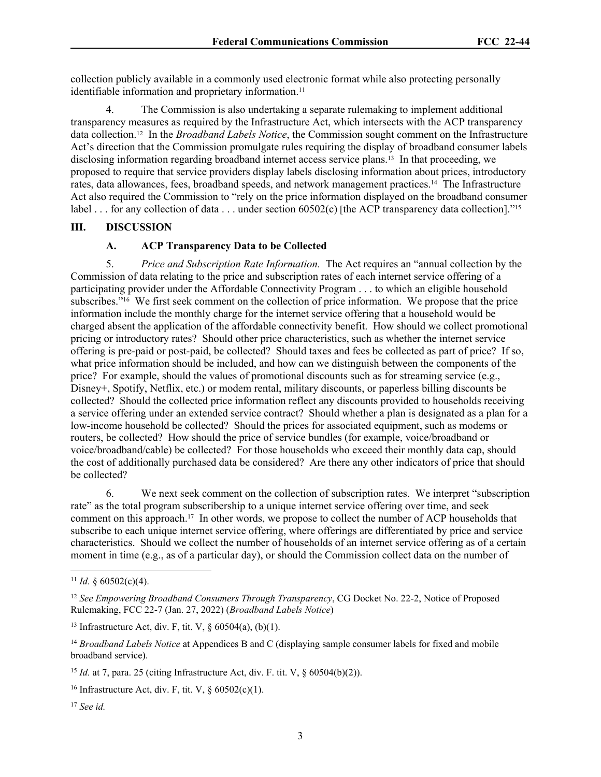collection publicly available in a commonly used electronic format while also protecting personally identifiable information and proprietary information.<sup>11</sup>

4. The Commission is also undertaking a separate rulemaking to implement additional transparency measures as required by the Infrastructure Act, which intersects with the ACP transparency data collection.12 In the *Broadband Labels Notice*, the Commission sought comment on the Infrastructure Act's direction that the Commission promulgate rules requiring the display of broadband consumer labels disclosing information regarding broadband internet access service plans.<sup>13</sup> In that proceeding, we proposed to require that service providers display labels disclosing information about prices, introductory rates, data allowances, fees, broadband speeds, and network management practices.14 The Infrastructure Act also required the Commission to "rely on the price information displayed on the broadband consumer label . . . for any collection of data . . . under section 60502(c) [the ACP transparency data collection].<sup>"15</sup>

### **III. DISCUSSION**

# **A. ACP Transparency Data to be Collected**

5. *Price and Subscription Rate Information.* The Act requires an "annual collection by the Commission of data relating to the price and subscription rates of each internet service offering of a participating provider under the Affordable Connectivity Program . . . to which an eligible household subscribes."16 We first seek comment on the collection of price information. We propose that the price information include the monthly charge for the internet service offering that a household would be charged absent the application of the affordable connectivity benefit. How should we collect promotional pricing or introductory rates? Should other price characteristics, such as whether the internet service offering is pre-paid or post-paid, be collected? Should taxes and fees be collected as part of price? If so, what price information should be included, and how can we distinguish between the components of the price? For example, should the values of promotional discounts such as for streaming service (e.g., Disney+, Spotify, Netflix, etc.) or modem rental, military discounts, or paperless billing discounts be collected? Should the collected price information reflect any discounts provided to households receiving a service offering under an extended service contract? Should whether a plan is designated as a plan for a low-income household be collected? Should the prices for associated equipment, such as modems or routers, be collected? How should the price of service bundles (for example, voice/broadband or voice/broadband/cable) be collected? For those households who exceed their monthly data cap, should the cost of additionally purchased data be considered? Are there any other indicators of price that should be collected?

6. We next seek comment on the collection of subscription rates. We interpret "subscription rate" as the total program subscribership to a unique internet service offering over time, and seek comment on this approach.17 In other words, we propose to collect the number of ACP households that subscribe to each unique internet service offering, where offerings are differentiated by price and service characteristics. Should we collect the number of households of an internet service offering as of a certain moment in time (e.g., as of a particular day), or should the Commission collect data on the number of

<sup>&</sup>lt;sup>11</sup> *Id.*  $\frac{60502(c)(4)}{c}$ .

<sup>12</sup> *See Empowering Broadband Consumers Through Transparency*, CG Docket No. 22-2, Notice of Proposed Rulemaking, FCC 22-7 (Jan. 27, 2022) (*Broadband Labels Notice*)

<sup>&</sup>lt;sup>13</sup> Infrastructure Act, div. F, tit. V,  $\S$  60504(a), (b)(1).

<sup>14</sup> *Broadband Labels Notice* at Appendices B and C (displaying sample consumer labels for fixed and mobile broadband service).

<sup>&</sup>lt;sup>15</sup> *Id.* at 7, para. 25 (citing Infrastructure Act, div. F. tit. V,  $\delta$  60504(b)(2)).

<sup>&</sup>lt;sup>16</sup> Infrastructure Act, div. F, tit. V,  $\S$  60502(c)(1).

<sup>17</sup> *See id.*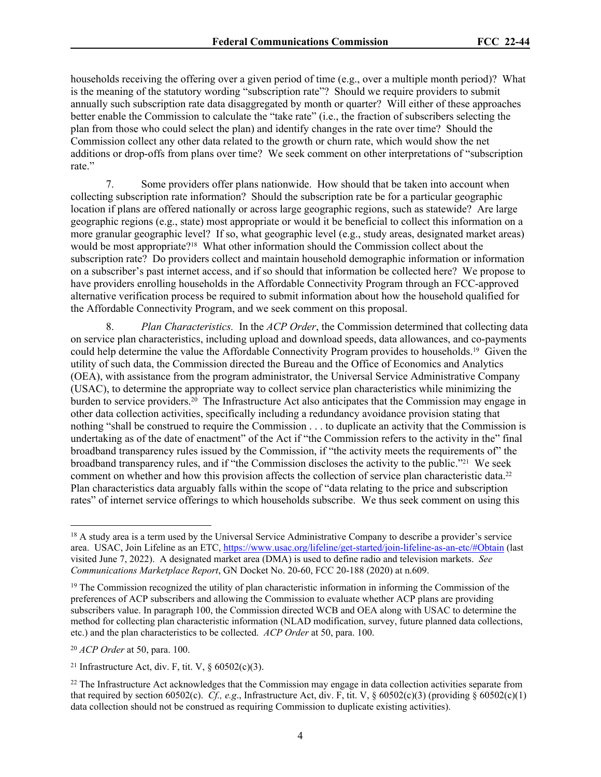households receiving the offering over a given period of time (e.g., over a multiple month period)? What is the meaning of the statutory wording "subscription rate"? Should we require providers to submit annually such subscription rate data disaggregated by month or quarter? Will either of these approaches better enable the Commission to calculate the "take rate" (i.e., the fraction of subscribers selecting the plan from those who could select the plan) and identify changes in the rate over time? Should the Commission collect any other data related to the growth or churn rate, which would show the net additions or drop-offs from plans over time? We seek comment on other interpretations of "subscription rate."

7. Some providers offer plans nationwide. How should that be taken into account when collecting subscription rate information? Should the subscription rate be for a particular geographic location if plans are offered nationally or across large geographic regions, such as statewide? Are large geographic regions (e.g., state) most appropriate or would it be beneficial to collect this information on a more granular geographic level? If so, what geographic level (e.g., study areas, designated market areas) would be most appropriate?18 What other information should the Commission collect about the subscription rate? Do providers collect and maintain household demographic information or information on a subscriber's past internet access, and if so should that information be collected here? We propose to have providers enrolling households in the Affordable Connectivity Program through an FCC-approved alternative verification process be required to submit information about how the household qualified for the Affordable Connectivity Program, and we seek comment on this proposal.

8. *Plan Characteristics.* In the *ACP Order*, the Commission determined that collecting data on service plan characteristics, including upload and download speeds, data allowances, and co-payments could help determine the value the Affordable Connectivity Program provides to households.19 Given the utility of such data, the Commission directed the Bureau and the Office of Economics and Analytics (OEA), with assistance from the program administrator, the Universal Service Administrative Company (USAC), to determine the appropriate way to collect service plan characteristics while minimizing the burden to service providers.20 The Infrastructure Act also anticipates that the Commission may engage in other data collection activities, specifically including a redundancy avoidance provision stating that nothing "shall be construed to require the Commission . . . to duplicate an activity that the Commission is undertaking as of the date of enactment" of the Act if "the Commission refers to the activity in the" final broadband transparency rules issued by the Commission, if "the activity meets the requirements of" the broadband transparency rules, and if "the Commission discloses the activity to the public."21 We seek comment on whether and how this provision affects the collection of service plan characteristic data.<sup>22</sup> Plan characteristics data arguably falls within the scope of "data relating to the price and subscription rates" of internet service offerings to which households subscribe. We thus seek comment on using this

<sup>&</sup>lt;sup>18</sup> A study area is a term used by the Universal Service Administrative Company to describe a provider's service area. USAC, Join Lifeline as an ETC, <https://www.usac.org/lifeline/get-started/join-lifeline-as-an-etc/#Obtain>(last visited June 7, 2022). A designated market area (DMA) is used to define radio and television markets. *See Communications Marketplace Report*, GN Docket No. 20-60, FCC 20-188 (2020) at n.609.

<sup>19</sup> The Commission recognized the utility of plan characteristic information in informing the Commission of the preferences of ACP subscribers and allowing the Commission to evaluate whether ACP plans are providing subscribers value. In paragraph 100, the Commission directed WCB and OEA along with USAC to determine the method for collecting plan characteristic information (NLAD modification, survey, future planned data collections, etc.) and the plan characteristics to be collected. *ACP Order* at 50, para. 100.

<sup>20</sup> *ACP Order* at 50, para. 100.

<sup>&</sup>lt;sup>21</sup> Infrastructure Act, div. F, tit. V,  $\S$  60502(c)(3).

<sup>&</sup>lt;sup>22</sup> The Infrastructure Act acknowledges that the Commission may engage in data collection activities separate from that required by section 60502(c). *Cf.*, *e.g.*, Infrastructure Act, div. F, tit. V, § 60502(c)(3) (providing § 60502(c)(1) data collection should not be construed as requiring Commission to duplicate existing activities).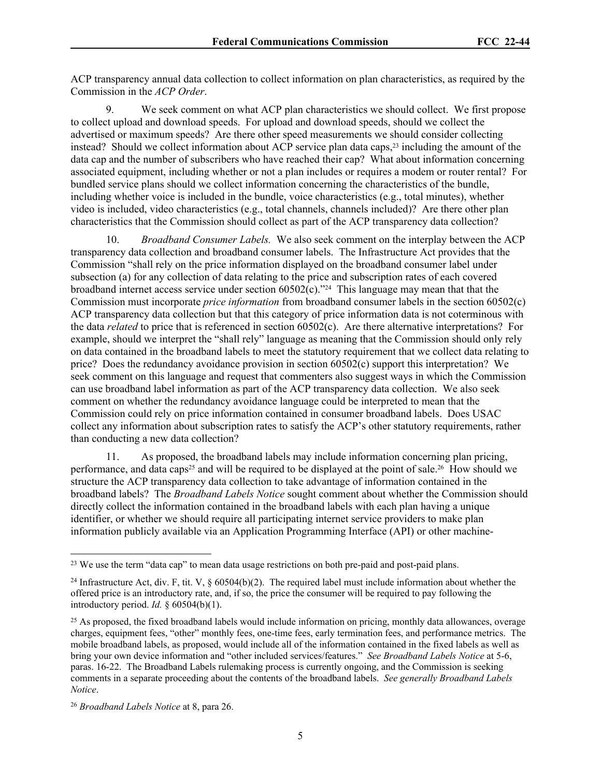ACP transparency annual data collection to collect information on plan characteristics, as required by the Commission in the *ACP Order*.

9. We seek comment on what ACP plan characteristics we should collect. We first propose to collect upload and download speeds. For upload and download speeds, should we collect the advertised or maximum speeds? Are there other speed measurements we should consider collecting instead? Should we collect information about ACP service plan data caps,<sup>23</sup> including the amount of the data cap and the number of subscribers who have reached their cap? What about information concerning associated equipment, including whether or not a plan includes or requires a modem or router rental? For bundled service plans should we collect information concerning the characteristics of the bundle, including whether voice is included in the bundle, voice characteristics (e.g., total minutes), whether video is included, video characteristics (e.g., total channels, channels included)? Are there other plan characteristics that the Commission should collect as part of the ACP transparency data collection?

10. *Broadband Consumer Labels.* We also seek comment on the interplay between the ACP transparency data collection and broadband consumer labels. The Infrastructure Act provides that the Commission "shall rely on the price information displayed on the broadband consumer label under subsection (a) for any collection of data relating to the price and subscription rates of each covered broadband internet access service under section 60502(c)."24 This language may mean that that the Commission must incorporate *price information* from broadband consumer labels in the section 60502(c) ACP transparency data collection but that this category of price information data is not coterminous with the data *related* to price that is referenced in section 60502(c). Are there alternative interpretations? For example, should we interpret the "shall rely" language as meaning that the Commission should only rely on data contained in the broadband labels to meet the statutory requirement that we collect data relating to price? Does the redundancy avoidance provision in section 60502(c) support this interpretation? We seek comment on this language and request that commenters also suggest ways in which the Commission can use broadband label information as part of the ACP transparency data collection. We also seek comment on whether the redundancy avoidance language could be interpreted to mean that the Commission could rely on price information contained in consumer broadband labels. Does USAC collect any information about subscription rates to satisfy the ACP's other statutory requirements, rather than conducting a new data collection?

11. As proposed, the broadband labels may include information concerning plan pricing, performance, and data caps<sup>25</sup> and will be required to be displayed at the point of sale.<sup>26</sup> How should we structure the ACP transparency data collection to take advantage of information contained in the broadband labels? The *Broadband Labels Notice* sought comment about whether the Commission should directly collect the information contained in the broadband labels with each plan having a unique identifier, or whether we should require all participating internet service providers to make plan information publicly available via an Application Programming Interface (API) or other machine-

<sup>&</sup>lt;sup>23</sup> We use the term "data cap" to mean data usage restrictions on both pre-paid and post-paid plans.

<sup>&</sup>lt;sup>24</sup> Infrastructure Act, div. F, tit. V,  $\S$  60504(b)(2). The required label must include information about whether the offered price is an introductory rate, and, if so, the price the consumer will be required to pay following the introductory period. *Id.* § 60504(b)(1).

<sup>&</sup>lt;sup>25</sup> As proposed, the fixed broadband labels would include information on pricing, monthly data allowances, overage charges, equipment fees, "other" monthly fees, one-time fees, early termination fees, and performance metrics. The mobile broadband labels, as proposed, would include all of the information contained in the fixed labels as well as bring your own device information and "other included services/features." *See Broadband Labels Notice* at 5-6, paras. 16-22. The Broadband Labels rulemaking process is currently ongoing, and the Commission is seeking comments in a separate proceeding about the contents of the broadband labels. *See generally Broadband Labels Notice*.

<sup>26</sup> *Broadband Labels Notice* at 8, para 26.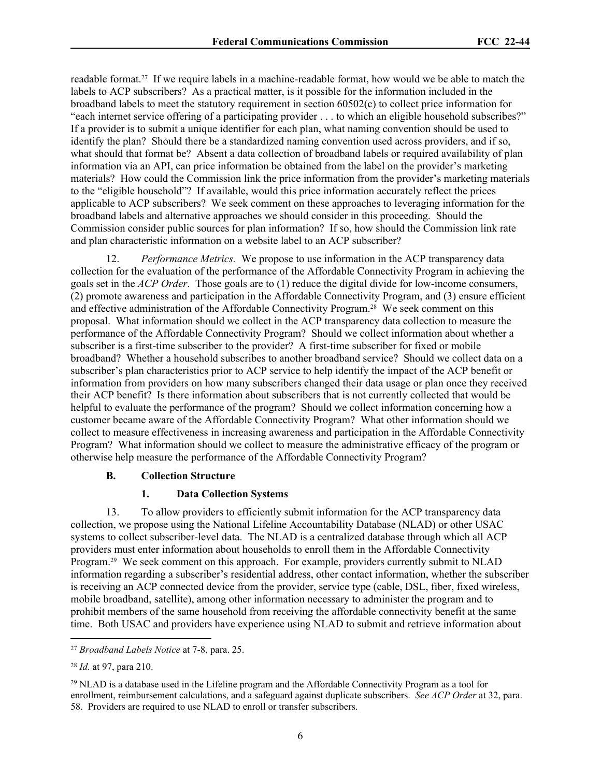readable format.27 If we require labels in a machine-readable format, how would we be able to match the labels to ACP subscribers? As a practical matter, is it possible for the information included in the broadband labels to meet the statutory requirement in section 60502(c) to collect price information for "each internet service offering of a participating provider . . . to which an eligible household subscribes?" If a provider is to submit a unique identifier for each plan, what naming convention should be used to identify the plan? Should there be a standardized naming convention used across providers, and if so, what should that format be? Absent a data collection of broadband labels or required availability of plan information via an API, can price information be obtained from the label on the provider's marketing materials? How could the Commission link the price information from the provider's marketing materials to the "eligible household"? If available, would this price information accurately reflect the prices applicable to ACP subscribers? We seek comment on these approaches to leveraging information for the broadband labels and alternative approaches we should consider in this proceeding. Should the Commission consider public sources for plan information? If so, how should the Commission link rate and plan characteristic information on a website label to an ACP subscriber?

12. *Performance Metrics.* We propose to use information in the ACP transparency data collection for the evaluation of the performance of the Affordable Connectivity Program in achieving the goals set in the *ACP Order*. Those goals are to (1) reduce the digital divide for low-income consumers, (2) promote awareness and participation in the Affordable Connectivity Program, and (3) ensure efficient and effective administration of the Affordable Connectivity Program.28 We seek comment on this proposal. What information should we collect in the ACP transparency data collection to measure the performance of the Affordable Connectivity Program? Should we collect information about whether a subscriber is a first-time subscriber to the provider? A first-time subscriber for fixed or mobile broadband? Whether a household subscribes to another broadband service? Should we collect data on a subscriber's plan characteristics prior to ACP service to help identify the impact of the ACP benefit or information from providers on how many subscribers changed their data usage or plan once they received their ACP benefit? Is there information about subscribers that is not currently collected that would be helpful to evaluate the performance of the program? Should we collect information concerning how a customer became aware of the Affordable Connectivity Program? What other information should we collect to measure effectiveness in increasing awareness and participation in the Affordable Connectivity Program? What information should we collect to measure the administrative efficacy of the program or otherwise help measure the performance of the Affordable Connectivity Program?

### **B. Collection Structure**

#### **1. Data Collection Systems**

13. To allow providers to efficiently submit information for the ACP transparency data collection, we propose using the National Lifeline Accountability Database (NLAD) or other USAC systems to collect subscriber-level data. The NLAD is a centralized database through which all ACP providers must enter information about households to enroll them in the Affordable Connectivity Program.29 We seek comment on this approach. For example, providers currently submit to NLAD information regarding a subscriber's residential address, other contact information, whether the subscriber is receiving an ACP connected device from the provider, service type (cable, DSL, fiber, fixed wireless, mobile broadband, satellite), among other information necessary to administer the program and to prohibit members of the same household from receiving the affordable connectivity benefit at the same time. Both USAC and providers have experience using NLAD to submit and retrieve information about

<sup>27</sup> *Broadband Labels Notice* at 7-8, para. 25.

<sup>28</sup> *Id.* at 97, para 210.

 $^{29}$  NLAD is a database used in the Lifeline program and the Affordable Connectivity Program as a tool for enrollment, reimbursement calculations, and a safeguard against duplicate subscribers. *See ACP Order* at 32, para. 58. Providers are required to use NLAD to enroll or transfer subscribers.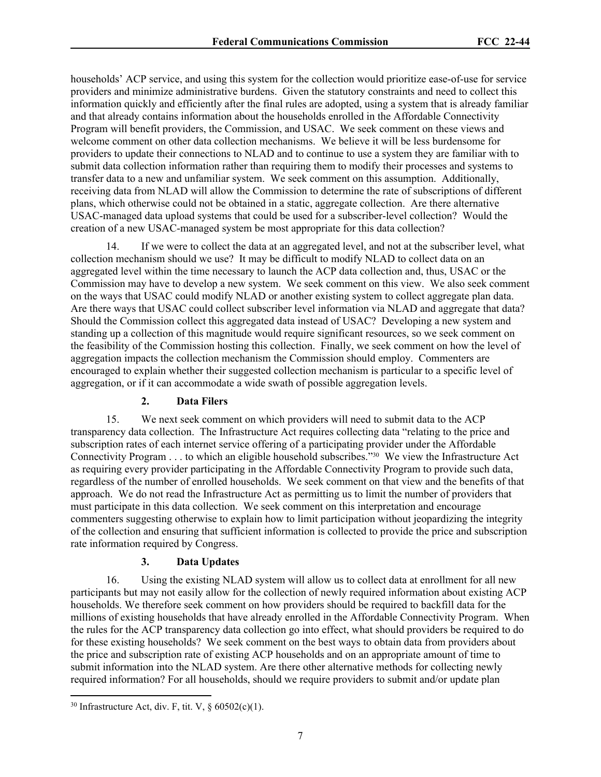households' ACP service, and using this system for the collection would prioritize ease-of-use for service providers and minimize administrative burdens. Given the statutory constraints and need to collect this information quickly and efficiently after the final rules are adopted, using a system that is already familiar and that already contains information about the households enrolled in the Affordable Connectivity Program will benefit providers, the Commission, and USAC. We seek comment on these views and welcome comment on other data collection mechanisms. We believe it will be less burdensome for providers to update their connections to NLAD and to continue to use a system they are familiar with to submit data collection information rather than requiring them to modify their processes and systems to transfer data to a new and unfamiliar system. We seek comment on this assumption. Additionally, receiving data from NLAD will allow the Commission to determine the rate of subscriptions of different plans, which otherwise could not be obtained in a static, aggregate collection. Are there alternative USAC-managed data upload systems that could be used for a subscriber-level collection? Would the creation of a new USAC-managed system be most appropriate for this data collection?

If we were to collect the data at an aggregated level, and not at the subscriber level, what collection mechanism should we use? It may be difficult to modify NLAD to collect data on an aggregated level within the time necessary to launch the ACP data collection and, thus, USAC or the Commission may have to develop a new system. We seek comment on this view. We also seek comment on the ways that USAC could modify NLAD or another existing system to collect aggregate plan data. Are there ways that USAC could collect subscriber level information via NLAD and aggregate that data? Should the Commission collect this aggregated data instead of USAC? Developing a new system and standing up a collection of this magnitude would require significant resources, so we seek comment on the feasibility of the Commission hosting this collection. Finally, we seek comment on how the level of aggregation impacts the collection mechanism the Commission should employ. Commenters are encouraged to explain whether their suggested collection mechanism is particular to a specific level of aggregation, or if it can accommodate a wide swath of possible aggregation levels.

#### **2. Data Filers**

15. We next seek comment on which providers will need to submit data to the ACP transparency data collection. The Infrastructure Act requires collecting data "relating to the price and subscription rates of each internet service offering of a participating provider under the Affordable Connectivity Program . . . to which an eligible household subscribes."30 We view the Infrastructure Act as requiring every provider participating in the Affordable Connectivity Program to provide such data, regardless of the number of enrolled households. We seek comment on that view and the benefits of that approach. We do not read the Infrastructure Act as permitting us to limit the number of providers that must participate in this data collection. We seek comment on this interpretation and encourage commenters suggesting otherwise to explain how to limit participation without jeopardizing the integrity of the collection and ensuring that sufficient information is collected to provide the price and subscription rate information required by Congress.

#### **3. Data Updates**

16. Using the existing NLAD system will allow us to collect data at enrollment for all new participants but may not easily allow for the collection of newly required information about existing ACP households. We therefore seek comment on how providers should be required to backfill data for the millions of existing households that have already enrolled in the Affordable Connectivity Program. When the rules for the ACP transparency data collection go into effect, what should providers be required to do for these existing households? We seek comment on the best ways to obtain data from providers about the price and subscription rate of existing ACP households and on an appropriate amount of time to submit information into the NLAD system. Are there other alternative methods for collecting newly required information? For all households, should we require providers to submit and/or update plan

 $30$  Infrastructure Act, div. F, tit. V,  $\frac{60502(c)(1)}{c}$ .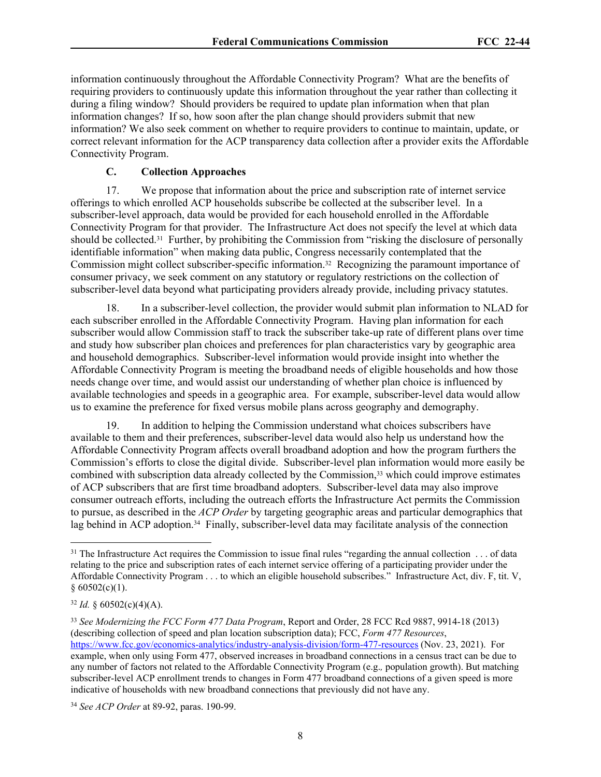information continuously throughout the Affordable Connectivity Program? What are the benefits of requiring providers to continuously update this information throughout the year rather than collecting it during a filing window? Should providers be required to update plan information when that plan information changes? If so, how soon after the plan change should providers submit that new information? We also seek comment on whether to require providers to continue to maintain, update, or correct relevant information for the ACP transparency data collection after a provider exits the Affordable Connectivity Program.

### **C. Collection Approaches**

17. We propose that information about the price and subscription rate of internet service offerings to which enrolled ACP households subscribe be collected at the subscriber level. In a subscriber-level approach, data would be provided for each household enrolled in the Affordable Connectivity Program for that provider. The Infrastructure Act does not specify the level at which data should be collected.31 Further, by prohibiting the Commission from "risking the disclosure of personally identifiable information" when making data public, Congress necessarily contemplated that the Commission might collect subscriber-specific information.32 Recognizing the paramount importance of consumer privacy, we seek comment on any statutory or regulatory restrictions on the collection of subscriber-level data beyond what participating providers already provide, including privacy statutes.

18. In a subscriber-level collection, the provider would submit plan information to NLAD for each subscriber enrolled in the Affordable Connectivity Program. Having plan information for each subscriber would allow Commission staff to track the subscriber take-up rate of different plans over time and study how subscriber plan choices and preferences for plan characteristics vary by geographic area and household demographics. Subscriber-level information would provide insight into whether the Affordable Connectivity Program is meeting the broadband needs of eligible households and how those needs change over time, and would assist our understanding of whether plan choice is influenced by available technologies and speeds in a geographic area. For example, subscriber-level data would allow us to examine the preference for fixed versus mobile plans across geography and demography.

19. In addition to helping the Commission understand what choices subscribers have available to them and their preferences, subscriber-level data would also help us understand how the Affordable Connectivity Program affects overall broadband adoption and how the program furthers the Commission's efforts to close the digital divide. Subscriber-level plan information would more easily be combined with subscription data already collected by the Commission,<sup>33</sup> which could improve estimates of ACP subscribers that are first time broadband adopters. Subscriber-level data may also improve consumer outreach efforts, including the outreach efforts the Infrastructure Act permits the Commission to pursue, as described in the *ACP Order* by targeting geographic areas and particular demographics that lag behind in ACP adoption.<sup>34</sup> Finally, subscriber-level data may facilitate analysis of the connection

 $31$  The Infrastructure Act requires the Commission to issue final rules "regarding the annual collection  $\dots$  of data relating to the price and subscription rates of each internet service offering of a participating provider under the Affordable Connectivity Program . . . to which an eligible household subscribes." Infrastructure Act, div. F, tit. V,  $§ 60502(c)(1).$ 

 $32$  *Id.*  $\frac{60502(c)(4)(A)}{2}$ .

<sup>33</sup> *See Modernizing the FCC Form 477 Data Program*, Report and Order, 28 FCC Rcd 9887, 9914-18 (2013) (describing collection of speed and plan location subscription data); FCC, *Form 477 Resources*, [https://www.fcc.gov/economics-analytics/industry-analysis-division/form-477-resources](https://www.fcc.gov/economics-analytics/industry-analysis-division/form-477-resources%20) (Nov. 23, 2021). For example, when only using Form 477, observed increases in broadband connections in a census tract can be due to any number of factors not related to the Affordable Connectivity Program (e.g.*,* population growth). But matching subscriber-level ACP enrollment trends to changes in Form 477 broadband connections of a given speed is more indicative of households with new broadband connections that previously did not have any.

<sup>34</sup> *See ACP Order* at 89-92, paras. 190-99.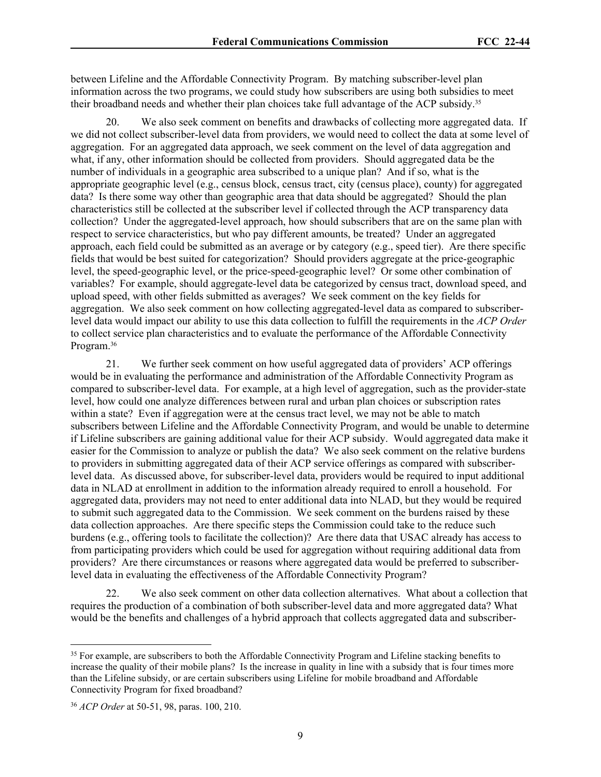between Lifeline and the Affordable Connectivity Program. By matching subscriber-level plan information across the two programs, we could study how subscribers are using both subsidies to meet their broadband needs and whether their plan choices take full advantage of the ACP subsidy.<sup>35</sup>

We also seek comment on benefits and drawbacks of collecting more aggregated data. If we did not collect subscriber-level data from providers, we would need to collect the data at some level of aggregation. For an aggregated data approach, we seek comment on the level of data aggregation and what, if any, other information should be collected from providers. Should aggregated data be the number of individuals in a geographic area subscribed to a unique plan? And if so, what is the appropriate geographic level (e.g., census block, census tract, city (census place), county) for aggregated data? Is there some way other than geographic area that data should be aggregated? Should the plan characteristics still be collected at the subscriber level if collected through the ACP transparency data collection? Under the aggregated-level approach, how should subscribers that are on the same plan with respect to service characteristics, but who pay different amounts, be treated? Under an aggregated approach, each field could be submitted as an average or by category (e.g., speed tier). Are there specific fields that would be best suited for categorization? Should providers aggregate at the price-geographic level, the speed-geographic level, or the price-speed-geographic level? Or some other combination of variables? For example, should aggregate-level data be categorized by census tract, download speed, and upload speed, with other fields submitted as averages? We seek comment on the key fields for aggregation. We also seek comment on how collecting aggregated-level data as compared to subscriberlevel data would impact our ability to use this data collection to fulfill the requirements in the *ACP Order* to collect service plan characteristics and to evaluate the performance of the Affordable Connectivity Program.<sup>36</sup>

21. We further seek comment on how useful aggregated data of providers' ACP offerings would be in evaluating the performance and administration of the Affordable Connectivity Program as compared to subscriber-level data. For example, at a high level of aggregation, such as the provider-state level, how could one analyze differences between rural and urban plan choices or subscription rates within a state? Even if aggregation were at the census tract level, we may not be able to match subscribers between Lifeline and the Affordable Connectivity Program, and would be unable to determine if Lifeline subscribers are gaining additional value for their ACP subsidy. Would aggregated data make it easier for the Commission to analyze or publish the data? We also seek comment on the relative burdens to providers in submitting aggregated data of their ACP service offerings as compared with subscriberlevel data. As discussed above, for subscriber-level data, providers would be required to input additional data in NLAD at enrollment in addition to the information already required to enroll a household. For aggregated data, providers may not need to enter additional data into NLAD, but they would be required to submit such aggregated data to the Commission. We seek comment on the burdens raised by these data collection approaches. Are there specific steps the Commission could take to the reduce such burdens (e.g., offering tools to facilitate the collection)? Are there data that USAC already has access to from participating providers which could be used for aggregation without requiring additional data from providers? Are there circumstances or reasons where aggregated data would be preferred to subscriberlevel data in evaluating the effectiveness of the Affordable Connectivity Program?

22. We also seek comment on other data collection alternatives. What about a collection that requires the production of a combination of both subscriber-level data and more aggregated data? What would be the benefits and challenges of a hybrid approach that collects aggregated data and subscriber-

<sup>&</sup>lt;sup>35</sup> For example, are subscribers to both the Affordable Connectivity Program and Lifeline stacking benefits to increase the quality of their mobile plans? Is the increase in quality in line with a subsidy that is four times more than the Lifeline subsidy, or are certain subscribers using Lifeline for mobile broadband and Affordable Connectivity Program for fixed broadband?

<sup>36</sup> *ACP Order* at 50-51, 98, paras. 100, 210.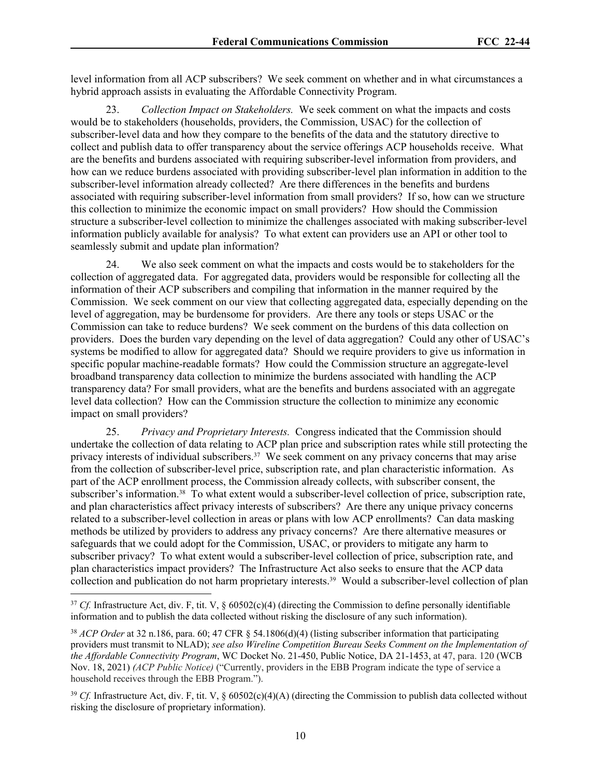level information from all ACP subscribers? We seek comment on whether and in what circumstances a hybrid approach assists in evaluating the Affordable Connectivity Program.

23. *Collection Impact on Stakeholders.* We seek comment on what the impacts and costs would be to stakeholders (households, providers, the Commission, USAC) for the collection of subscriber-level data and how they compare to the benefits of the data and the statutory directive to collect and publish data to offer transparency about the service offerings ACP households receive. What are the benefits and burdens associated with requiring subscriber-level information from providers, and how can we reduce burdens associated with providing subscriber-level plan information in addition to the subscriber-level information already collected? Are there differences in the benefits and burdens associated with requiring subscriber-level information from small providers? If so, how can we structure this collection to minimize the economic impact on small providers? How should the Commission structure a subscriber-level collection to minimize the challenges associated with making subscriber-level information publicly available for analysis? To what extent can providers use an API or other tool to seamlessly submit and update plan information?

24. We also seek comment on what the impacts and costs would be to stakeholders for the collection of aggregated data. For aggregated data, providers would be responsible for collecting all the information of their ACP subscribers and compiling that information in the manner required by the Commission. We seek comment on our view that collecting aggregated data, especially depending on the level of aggregation, may be burdensome for providers. Are there any tools or steps USAC or the Commission can take to reduce burdens? We seek comment on the burdens of this data collection on providers. Does the burden vary depending on the level of data aggregation? Could any other of USAC's systems be modified to allow for aggregated data? Should we require providers to give us information in specific popular machine-readable formats? How could the Commission structure an aggregate-level broadband transparency data collection to minimize the burdens associated with handling the ACP transparency data? For small providers, what are the benefits and burdens associated with an aggregate level data collection? How can the Commission structure the collection to minimize any economic impact on small providers?

25. *Privacy and Proprietary Interests.* Congress indicated that the Commission should undertake the collection of data relating to ACP plan price and subscription rates while still protecting the privacy interests of individual subscribers.<sup>37</sup> We seek comment on any privacy concerns that may arise from the collection of subscriber-level price, subscription rate, and plan characteristic information. As part of the ACP enrollment process, the Commission already collects, with subscriber consent, the subscriber's information.38 To what extent would a subscriber-level collection of price, subscription rate, and plan characteristics affect privacy interests of subscribers? Are there any unique privacy concerns related to a subscriber-level collection in areas or plans with low ACP enrollments? Can data masking methods be utilized by providers to address any privacy concerns? Are there alternative measures or safeguards that we could adopt for the Commission, USAC, or providers to mitigate any harm to subscriber privacy? To what extent would a subscriber-level collection of price, subscription rate, and plan characteristics impact providers? The Infrastructure Act also seeks to ensure that the ACP data collection and publication do not harm proprietary interests.39 Would a subscriber-level collection of plan

<sup>&</sup>lt;sup>37</sup> *Cf.* Infrastructure Act, div. F, tit. V, § 60502(c)(4) (directing the Commission to define personally identifiable information and to publish the data collected without risking the disclosure of any such information).

<sup>38</sup> *ACP Order* at 32 n.186, para. 60; 47 CFR § 54.1806(d)(4) (listing subscriber information that participating providers must transmit to NLAD); *see also Wireline Competition Bureau Seeks Comment on the Implementation of the Affordable Connectivity Program*, WC Docket No. 21-450, Public Notice, DA 21-1453, at 47, para. 120 (WCB Nov. 18, 2021) *(ACP Public Notice)* ("Currently, providers in the EBB Program indicate the type of service a household receives through the EBB Program.").

<sup>&</sup>lt;sup>39</sup> *Cf.* Infrastructure Act, div. F, tit. V, § 60502(c)(4)(A) (directing the Commission to publish data collected without risking the disclosure of proprietary information).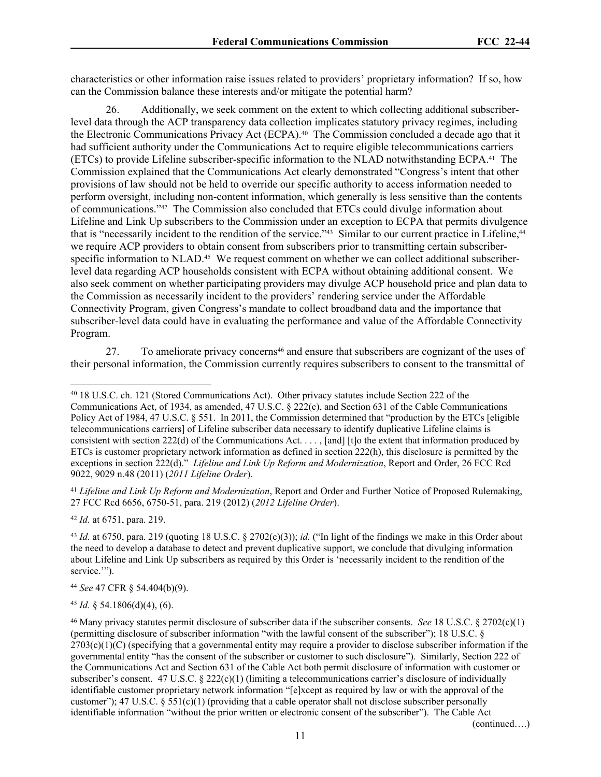characteristics or other information raise issues related to providers' proprietary information? If so, how can the Commission balance these interests and/or mitigate the potential harm?

26. Additionally, we seek comment on the extent to which collecting additional subscriberlevel data through the ACP transparency data collection implicates statutory privacy regimes, including the Electronic Communications Privacy Act (ECPA).<sup>40</sup> The Commission concluded a decade ago that it had sufficient authority under the Communications Act to require eligible telecommunications carriers (ETCs) to provide Lifeline subscriber-specific information to the NLAD notwithstanding ECPA.41 The Commission explained that the Communications Act clearly demonstrated "Congress's intent that other provisions of law should not be held to override our specific authority to access information needed to perform oversight, including non-content information, which generally is less sensitive than the contents of communications."42 The Commission also concluded that ETCs could divulge information about Lifeline and Link Up subscribers to the Commission under an exception to ECPA that permits divulgence that is "necessarily incident to the rendition of the service."<sup>43</sup> Similar to our current practice in Lifeline,<sup>44</sup> we require ACP providers to obtain consent from subscribers prior to transmitting certain subscriberspecific information to NLAD.<sup>45</sup> We request comment on whether we can collect additional subscriberlevel data regarding ACP households consistent with ECPA without obtaining additional consent. We also seek comment on whether participating providers may divulge ACP household price and plan data to the Commission as necessarily incident to the providers' rendering service under the Affordable Connectivity Program, given Congress's mandate to collect broadband data and the importance that subscriber-level data could have in evaluating the performance and value of the Affordable Connectivity Program.

27. To ameliorate privacy concerns<sup>46</sup> and ensure that subscribers are cognizant of the uses of their personal information, the Commission currently requires subscribers to consent to the transmittal of

<sup>42</sup> *Id.* at 6751, para. 219.

<sup>44</sup> *See* 47 CFR § 54.404(b)(9).

 $45$  *Id.* § 54.1806(d)(4), (6).

(continued….)

<sup>40</sup> 18 U.S.C. ch. 121 (Stored Communications Act). Other privacy statutes include Section 222 of the Communications Act, of 1934, as amended, 47 U.S.C. § 222(c), and Section 631 of the Cable Communications Policy Act of 1984, 47 U.S.C. § 551. In 2011, the Commission determined that "production by the ETCs [eligible telecommunications carriers] of Lifeline subscriber data necessary to identify duplicative Lifeline claims is consistent with section 222(d) of the Communications Act. . . . , [and] [t]o the extent that information produced by ETCs is customer proprietary network information as defined in section 222(h), this disclosure is permitted by the exceptions in section 222(d)." *Lifeline and Link Up Reform and Modernization*, Report and Order, 26 FCC Rcd 9022, 9029 n.48 (2011) (*2011 Lifeline Order*).

<sup>41</sup> *Lifeline and Link Up Reform and Modernization*, Report and Order and Further Notice of Proposed Rulemaking, 27 FCC Rcd 6656, 6750-51, para. 219 (2012) (*2012 Lifeline Order*).

<sup>&</sup>lt;sup>43</sup> *Id.* at 6750, para. 219 (quoting 18 U.S.C. § 2702(c)(3)); *id.* ("In light of the findings we make in this Order about the need to develop a database to detect and prevent duplicative support, we conclude that divulging information about Lifeline and Link Up subscribers as required by this Order is 'necessarily incident to the rendition of the service."").

<sup>46</sup> Many privacy statutes permit disclosure of subscriber data if the subscriber consents. *See* 18 U.S.C. § 2702(c)(1) (permitting disclosure of subscriber information "with the lawful consent of the subscriber"); 18 U.S.C. §  $2703(c)(1)(C)$  (specifying that a governmental entity may require a provider to disclose subscriber information if the governmental entity "has the consent of the subscriber or customer to such disclosure"). Similarly, Section 222 of the Communications Act and Section 631 of the Cable Act both permit disclosure of information with customer or subscriber's consent. 47 U.S.C.  $\S 222(c)(1)$  (limiting a telecommunications carrier's disclosure of individually identifiable customer proprietary network information "[e]xcept as required by law or with the approval of the customer"); 47 U.S.C. § 551(c)(1) (providing that a cable operator shall not disclose subscriber personally identifiable information "without the prior written or electronic consent of the subscriber"). The Cable Act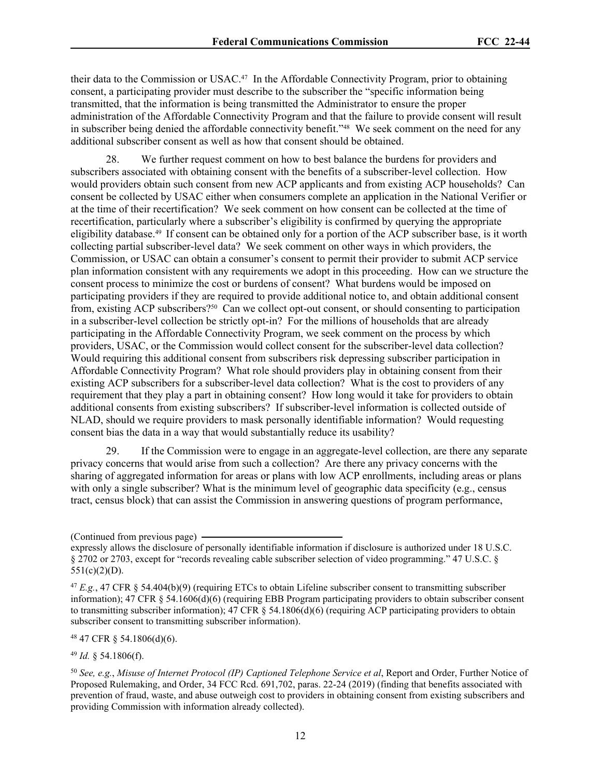their data to the Commission or USAC.47 In the Affordable Connectivity Program, prior to obtaining consent, a participating provider must describe to the subscriber the "specific information being transmitted, that the information is being transmitted the Administrator to ensure the proper administration of the Affordable Connectivity Program and that the failure to provide consent will result in subscriber being denied the affordable connectivity benefit."48 We seek comment on the need for any additional subscriber consent as well as how that consent should be obtained.

28. We further request comment on how to best balance the burdens for providers and subscribers associated with obtaining consent with the benefits of a subscriber-level collection. How would providers obtain such consent from new ACP applicants and from existing ACP households? Can consent be collected by USAC either when consumers complete an application in the National Verifier or at the time of their recertification? We seek comment on how consent can be collected at the time of recertification, particularly where a subscriber's eligibility is confirmed by querying the appropriate eligibility database.49 If consent can be obtained only for a portion of the ACP subscriber base, is it worth collecting partial subscriber-level data? We seek comment on other ways in which providers, the Commission, or USAC can obtain a consumer's consent to permit their provider to submit ACP service plan information consistent with any requirements we adopt in this proceeding. How can we structure the consent process to minimize the cost or burdens of consent? What burdens would be imposed on participating providers if they are required to provide additional notice to, and obtain additional consent from, existing ACP subscribers?50 Can we collect opt-out consent, or should consenting to participation in a subscriber-level collection be strictly opt-in? For the millions of households that are already participating in the Affordable Connectivity Program, we seek comment on the process by which providers, USAC, or the Commission would collect consent for the subscriber-level data collection? Would requiring this additional consent from subscribers risk depressing subscriber participation in Affordable Connectivity Program? What role should providers play in obtaining consent from their existing ACP subscribers for a subscriber-level data collection? What is the cost to providers of any requirement that they play a part in obtaining consent? How long would it take for providers to obtain additional consents from existing subscribers? If subscriber-level information is collected outside of NLAD, should we require providers to mask personally identifiable information? Would requesting consent bias the data in a way that would substantially reduce its usability?

29. If the Commission were to engage in an aggregate-level collection, are there any separate privacy concerns that would arise from such a collection? Are there any privacy concerns with the sharing of aggregated information for areas or plans with low ACP enrollments, including areas or plans with only a single subscriber? What is the minimum level of geographic data specificity (e.g., census tract, census block) that can assist the Commission in answering questions of program performance,

<sup>48</sup> 47 CFR § 54.1806(d)(6).

<sup>49</sup> *Id.* § 54.1806(f).

<sup>(</sup>Continued from previous page)

expressly allows the disclosure of personally identifiable information if disclosure is authorized under 18 U.S.C. § 2702 or 2703, except for "records revealing cable subscriber selection of video programming." 47 U.S.C. §  $551(c)(2)(D)$ .

<sup>47</sup> *E.g.*, 47 CFR § 54.404(b)(9) (requiring ETCs to obtain Lifeline subscriber consent to transmitting subscriber information); 47 CFR § 54.1606(d)(6) (requiring EBB Program participating providers to obtain subscriber consent to transmitting subscriber information); 47 CFR § 54.1806(d)(6) (requiring ACP participating providers to obtain subscriber consent to transmitting subscriber information).

<sup>50</sup> *See, e.g.*, *Misuse of Internet Protocol (IP) Captioned Telephone Service et al*, Report and Order, Further Notice of Proposed Rulemaking, and Order, 34 FCC Rcd. 691,702, paras. 22-24 (2019) (finding that benefits associated with prevention of fraud, waste, and abuse outweigh cost to providers in obtaining consent from existing subscribers and providing Commission with information already collected).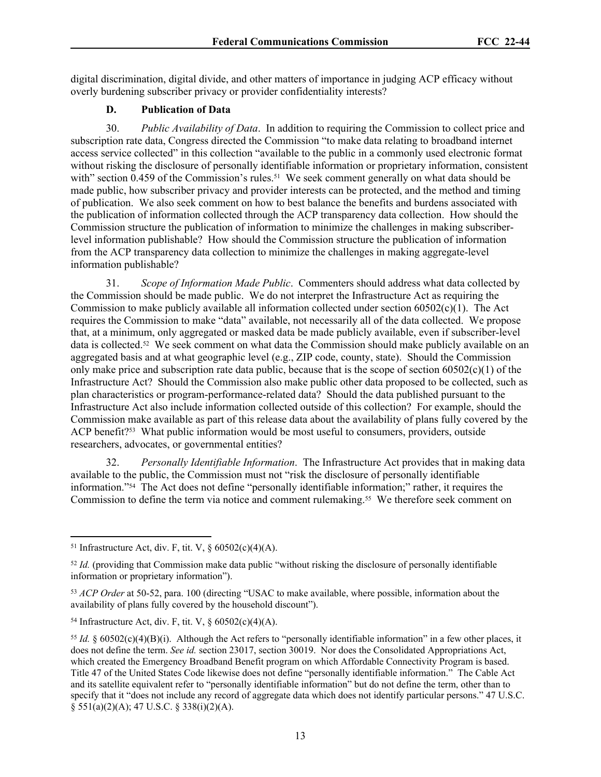digital discrimination, digital divide, and other matters of importance in judging ACP efficacy without overly burdening subscriber privacy or provider confidentiality interests?

#### **D. Publication of Data**

30. *Public Availability of Data*. In addition to requiring the Commission to collect price and subscription rate data, Congress directed the Commission "to make data relating to broadband internet access service collected" in this collection "available to the public in a commonly used electronic format without risking the disclosure of personally identifiable information or proprietary information, consistent with" section 0.459 of the Commission's rules.<sup>51</sup> We seek comment generally on what data should be made public, how subscriber privacy and provider interests can be protected, and the method and timing of publication. We also seek comment on how to best balance the benefits and burdens associated with the publication of information collected through the ACP transparency data collection. How should the Commission structure the publication of information to minimize the challenges in making subscriberlevel information publishable? How should the Commission structure the publication of information from the ACP transparency data collection to minimize the challenges in making aggregate-level information publishable?

31. *Scope of Information Made Public*. Commenters should address what data collected by the Commission should be made public. We do not interpret the Infrastructure Act as requiring the Commission to make publicly available all information collected under section  $60502(c)(1)$ . The Act requires the Commission to make "data" available, not necessarily all of the data collected. We propose that, at a minimum, only aggregated or masked data be made publicly available, even if subscriber-level data is collected.52 We seek comment on what data the Commission should make publicly available on an aggregated basis and at what geographic level (e.g., ZIP code, county, state). Should the Commission only make price and subscription rate data public, because that is the scope of section  $60502(c)(1)$  of the Infrastructure Act? Should the Commission also make public other data proposed to be collected, such as plan characteristics or program-performance-related data? Should the data published pursuant to the Infrastructure Act also include information collected outside of this collection? For example, should the Commission make available as part of this release data about the availability of plans fully covered by the ACP benefit?<sup>53</sup> What public information would be most useful to consumers, providers, outside researchers, advocates, or governmental entities?

32. *Personally Identifiable Information*. The Infrastructure Act provides that in making data available to the public, the Commission must not "risk the disclosure of personally identifiable information."54 The Act does not define "personally identifiable information;" rather, it requires the Commission to define the term via notice and comment rulemaking.<sup>55</sup> We therefore seek comment on

<sup>&</sup>lt;sup>51</sup> Infrastructure Act, div. F, tit. V,  $\frac{60502(c)(4)(A)}{2}$ .

<sup>&</sup>lt;sup>52</sup> *Id.* (providing that Commission make data public "without risking the disclosure of personally identifiable information or proprietary information").

<sup>53</sup> *ACP Order* at 50-52, para. 100 (directing "USAC to make available, where possible, information about the availability of plans fully covered by the household discount").

<sup>&</sup>lt;sup>54</sup> Infrastructure Act, div. F, tit. V,  $\S$  60502(c)(4)(A).

<sup>&</sup>lt;sup>55</sup> *Id.* §  $60502(c)(4)(B)(i)$ . Although the Act refers to "personally identifiable information" in a few other places, it does not define the term. *See id.* section 23017, section 30019. Nor does the Consolidated Appropriations Act, which created the Emergency Broadband Benefit program on which Affordable Connectivity Program is based. Title 47 of the United States Code likewise does not define "personally identifiable information." The Cable Act and its satellite equivalent refer to "personally identifiable information" but do not define the term, other than to specify that it "does not include any record of aggregate data which does not identify particular persons." 47 U.S.C. § 551(a)(2)(A); 47 U.S.C. § 338(i)(2)(A).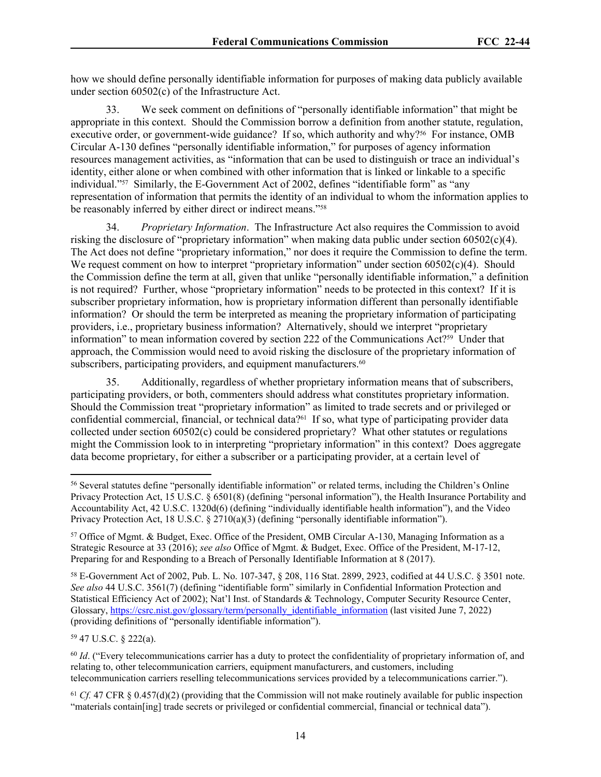how we should define personally identifiable information for purposes of making data publicly available under section 60502(c) of the Infrastructure Act.

33. We seek comment on definitions of "personally identifiable information" that might be appropriate in this context. Should the Commission borrow a definition from another statute, regulation, executive order, or government-wide guidance? If so, which authority and why?<sup>56</sup> For instance, OMB Circular A-130 defines "personally identifiable information," for purposes of agency information resources management activities, as "information that can be used to distinguish or trace an individual's identity, either alone or when combined with other information that is linked or linkable to a specific individual."57 Similarly, the E-Government Act of 2002, defines "identifiable form" as "any representation of information that permits the identity of an individual to whom the information applies to be reasonably inferred by either direct or indirect means."<sup>58</sup>

34. *Proprietary Information*. The Infrastructure Act also requires the Commission to avoid risking the disclosure of "proprietary information" when making data public under section  $60502(c)(4)$ . The Act does not define "proprietary information," nor does it require the Commission to define the term. We request comment on how to interpret "proprietary information" under section 60502(c)(4). Should the Commission define the term at all, given that unlike "personally identifiable information," a definition is not required? Further, whose "proprietary information" needs to be protected in this context? If it is subscriber proprietary information, how is proprietary information different than personally identifiable information? Or should the term be interpreted as meaning the proprietary information of participating providers, i.e., proprietary business information? Alternatively, should we interpret "proprietary information" to mean information covered by section 222 of the Communications Act?<sup>59</sup> Under that approach, the Commission would need to avoid risking the disclosure of the proprietary information of subscribers, participating providers, and equipment manufacturers.<sup>60</sup>

35. Additionally, regardless of whether proprietary information means that of subscribers, participating providers, or both, commenters should address what constitutes proprietary information. Should the Commission treat "proprietary information" as limited to trade secrets and or privileged or confidential commercial, financial, or technical data?61 If so, what type of participating provider data collected under section 60502(c) could be considered proprietary? What other statutes or regulations might the Commission look to in interpreting "proprietary information" in this context? Does aggregate data become proprietary, for either a subscriber or a participating provider, at a certain level of

<sup>59</sup> 47 U.S.C. § 222(a).

<sup>56</sup> Several statutes define "personally identifiable information" or related terms, including the Children's Online Privacy Protection Act, 15 U.S.C. § 6501(8) (defining "personal information"), the Health Insurance Portability and Accountability Act, 42 U.S.C. 1320d(6) (defining "individually identifiable health information"), and the Video Privacy Protection Act, 18 U.S.C. § 2710(a)(3) (defining "personally identifiable information").

<sup>57</sup> Office of Mgmt. & Budget, Exec. Office of the President, OMB Circular A-130, Managing Information as a Strategic Resource at 33 (2016); *see also* Office of Mgmt. & Budget, Exec. Office of the President, M-17-12, Preparing for and Responding to a Breach of Personally Identifiable Information at 8 (2017).

<sup>58</sup> E-Government Act of 2002, Pub. L. No. 107-347, § 208, 116 Stat. 2899, 2923, codified at 44 U.S.C. § 3501 note. *See also* 44 U.S.C. 3561(7) (defining "identifiable form" similarly in Confidential Information Protection and Statistical Efficiency Act of 2002); Nat'l Inst. of Standards & Technology, Computer Security Resource Center, Glossary, [https://csrc.nist.gov/glossary/term/personally\\_identifiable\\_information](https://csrc.nist.gov/glossary/term/personally_identifiable_information) (last visited June 7, 2022) (providing definitions of "personally identifiable information").

<sup>&</sup>lt;sup>60</sup> *Id.* ("Every telecommunications carrier has a duty to protect the confidentiality of proprietary information of, and relating to, other telecommunication carriers, equipment manufacturers, and customers, including telecommunication carriers reselling telecommunications services provided by a telecommunications carrier.").

<sup>61</sup> *Cf.* 47 CFR § 0.457(d)(2) (providing that the Commission will not make routinely available for public inspection "materials contain[ing] trade secrets or privileged or confidential commercial, financial or technical data").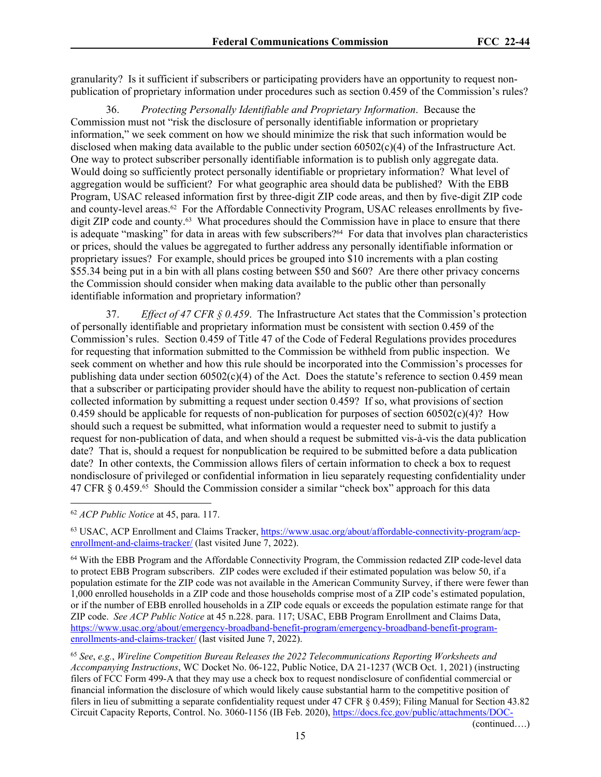granularity? Is it sufficient if subscribers or participating providers have an opportunity to request nonpublication of proprietary information under procedures such as section 0.459 of the Commission's rules?

36. *Protecting Personally Identifiable and Proprietary Information*. Because the Commission must not "risk the disclosure of personally identifiable information or proprietary information," we seek comment on how we should minimize the risk that such information would be disclosed when making data available to the public under section 60502(c)(4) of the Infrastructure Act. One way to protect subscriber personally identifiable information is to publish only aggregate data. Would doing so sufficiently protect personally identifiable or proprietary information? What level of aggregation would be sufficient? For what geographic area should data be published? With the EBB Program, USAC released information first by three-digit ZIP code areas, and then by five-digit ZIP code and county-level areas.<sup>62</sup> For the Affordable Connectivity Program, USAC releases enrollments by fivedigit ZIP code and county.<sup>63</sup> What procedures should the Commission have in place to ensure that there is adequate "masking" for data in areas with few subscribers?64 For data that involves plan characteristics or prices, should the values be aggregated to further address any personally identifiable information or proprietary issues? For example, should prices be grouped into \$10 increments with a plan costing \$55.34 being put in a bin with all plans costing between \$50 and \$60? Are there other privacy concerns the Commission should consider when making data available to the public other than personally identifiable information and proprietary information?

37. *Effect of 47 CFR § 0.459*. The Infrastructure Act states that the Commission's protection of personally identifiable and proprietary information must be consistent with section 0.459 of the Commission's rules. Section 0.459 of Title 47 of the Code of Federal Regulations provides procedures for requesting that information submitted to the Commission be withheld from public inspection. We seek comment on whether and how this rule should be incorporated into the Commission's processes for publishing data under section  $60502(c)(4)$  of the Act. Does the statute's reference to section 0.459 mean that a subscriber or participating provider should have the ability to request non-publication of certain collected information by submitting a request under section 0.459? If so, what provisions of section 0.459 should be applicable for requests of non-publication for purposes of section  $60502(c)(4)$ ? How should such a request be submitted, what information would a requester need to submit to justify a request for non-publication of data, and when should a request be submitted vis-à-vis the data publication date? That is, should a request for nonpublication be required to be submitted before a data publication date? In other contexts, the Commission allows filers of certain information to check a box to request nondisclosure of privileged or confidential information in lieu separately requesting confidentiality under 47 CFR  $\S$  0.459.<sup>65</sup> Should the Commission consider a similar "check box" approach for this data

<sup>65</sup> *See*, *e.g.*, *Wireline Competition Bureau Releases the 2022 Telecommunications Reporting Worksheets and Accompanying Instructions*, WC Docket No. 06-122, Public Notice, DA 21-1237 (WCB Oct. 1, 2021) (instructing filers of FCC Form 499-A that they may use a check box to request nondisclosure of confidential commercial or financial information the disclosure of which would likely cause substantial harm to the competitive position of filers in lieu of submitting a separate confidentiality request under 47 CFR § 0.459); Filing Manual for Section 43.82 Circuit Capacity Reports, Control. No. 3060-1156 (IB Feb. 2020), [https://docs.fcc.gov/public/attachments/DOC-](https://docs.fcc.gov/public/attachments/DOC-362660A1.pdf)

(continued….)

<sup>62</sup> *ACP Public Notice* at 45, para. 117.

<sup>63</sup> USAC, ACP Enrollment and Claims Tracker, [https://www.usac.org/about/affordable-connectivity-program/acp](https://www.usac.org/about/affordable-connectivity-program/acp-enrollment-and-claims-tracker/)[enrollment-and-claims-tracker/](https://www.usac.org/about/affordable-connectivity-program/acp-enrollment-and-claims-tracker/) (last visited June 7, 2022).

<sup>64</sup> With the EBB Program and the Affordable Connectivity Program, the Commission redacted ZIP code-level data to protect EBB Program subscribers. ZIP codes were excluded if their estimated population was below 50, if a population estimate for the ZIP code was not available in the American Community Survey, if there were fewer than 1,000 enrolled households in a ZIP code and those households comprise most of a ZIP code's estimated population, or if the number of EBB enrolled households in a ZIP code equals or exceeds the population estimate range for that ZIP code. *See ACP Public Notice* at 45 n.228. para. 117; USAC, EBB Program Enrollment and Claims Data, [https://www.usac.org/about/emergency-broadband-benefit-program/emergency-broadband-benefit-program](https://www.usac.org/about/emergency-broadband-benefit-program/emergency-broadband-benefit-program-enrollments-and-claims-tracker/)[enrollments-and-claims-tracker/](https://www.usac.org/about/emergency-broadband-benefit-program/emergency-broadband-benefit-program-enrollments-and-claims-tracker/) (last visited June 7, 2022).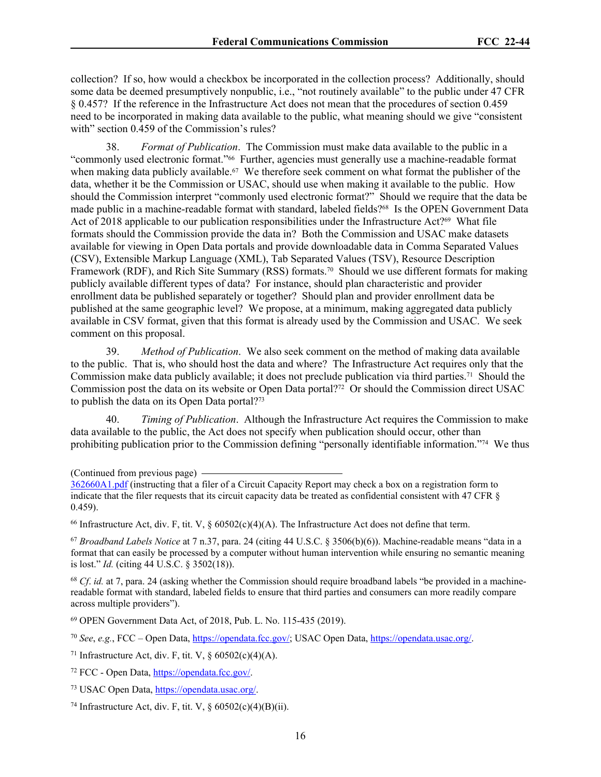collection? If so, how would a checkbox be incorporated in the collection process? Additionally, should some data be deemed presumptively nonpublic, i.e., "not routinely available" to the public under 47 CFR § 0.457? If the reference in the Infrastructure Act does not mean that the procedures of section 0.459 need to be incorporated in making data available to the public, what meaning should we give "consistent with" section 0.459 of the Commission's rules?

38. *Format of Publication*. The Commission must make data available to the public in a "commonly used electronic format."66 Further, agencies must generally use a machine-readable format when making data publicly available.<sup>67</sup> We therefore seek comment on what format the publisher of the data, whether it be the Commission or USAC, should use when making it available to the public. How should the Commission interpret "commonly used electronic format?" Should we require that the data be made public in a machine-readable format with standard, labeled fields?68 Is the OPEN Government Data Act of 2018 applicable to our publication responsibilities under the Infrastructure Act?<sup>69</sup> What file formats should the Commission provide the data in? Both the Commission and USAC make datasets available for viewing in Open Data portals and provide downloadable data in Comma Separated Values (CSV), Extensible Markup Language (XML), Tab Separated Values (TSV), Resource Description Framework (RDF), and Rich Site Summary (RSS) formats.<sup>70</sup> Should we use different formats for making publicly available different types of data? For instance, should plan characteristic and provider enrollment data be published separately or together? Should plan and provider enrollment data be published at the same geographic level? We propose, at a minimum, making aggregated data publicly available in CSV format, given that this format is already used by the Commission and USAC. We seek comment on this proposal.

39. *Method of Publication*. We also seek comment on the method of making data available to the public. That is, who should host the data and where? The Infrastructure Act requires only that the Commission make data publicly available; it does not preclude publication via third parties.71 Should the Commission post the data on its website or Open Data portal?72 Or should the Commission direct USAC to publish the data on its Open Data portal?<sup>73</sup>

40. *Timing of Publication*. Although the Infrastructure Act requires the Commission to make data available to the public, the Act does not specify when publication should occur, other than prohibiting publication prior to the Commission defining "personally identifiable information."74 We thus

<sup>66</sup> Infrastructure Act, div. F, tit. V,  $\S$  60502(c)(4)(A). The Infrastructure Act does not define that term.

<sup>67</sup> *Broadband Labels Notice* at 7 n.37, para. 24 (citing 44 U.S.C. § 3506(b)(6)). Machine-readable means "data in a format that can easily be processed by a computer without human intervention while ensuring no semantic meaning is lost." *Id.* (citing 44 U.S.C. § 3502(18)).

<sup>68</sup> *Cf*. *id.* at 7, para. 24 (asking whether the Commission should require broadband labels "be provided in a machinereadable format with standard, labeled fields to ensure that third parties and consumers can more readily compare across multiple providers").

<sup>69</sup> OPEN Government Data Act, of 2018, Pub. L. No. 115-435 (2019).

<sup>70</sup> *See*, *e.g.*, FCC – Open Data,<https://opendata.fcc.gov/>; USAC Open Data, <https://opendata.usac.org/>.

<sup>71</sup> Infrastructure Act, div. F, tit. V,  $\frac{66502(c)(4)(A)}{2}$ .

<sup>72</sup> FCC - Open Data,<https://opendata.fcc.gov/>.

<sup>73</sup> USAC Open Data, [https://opendata.usac.org/.](https://opendata.usac.org/)

<sup>74</sup> Infrastructure Act, div. F, tit. V,  $\frac{60502(c)(4)(B)(ii)}{2}$ .

<sup>(</sup>Continued from previous page)

[<sup>362660</sup>A1.pdf](https://docs.fcc.gov/public/attachments/DOC-362660A1.pdf) (instructing that a filer of a Circuit Capacity Report may check a box on a registration form to indicate that the filer requests that its circuit capacity data be treated as confidential consistent with 47 CFR § 0.459).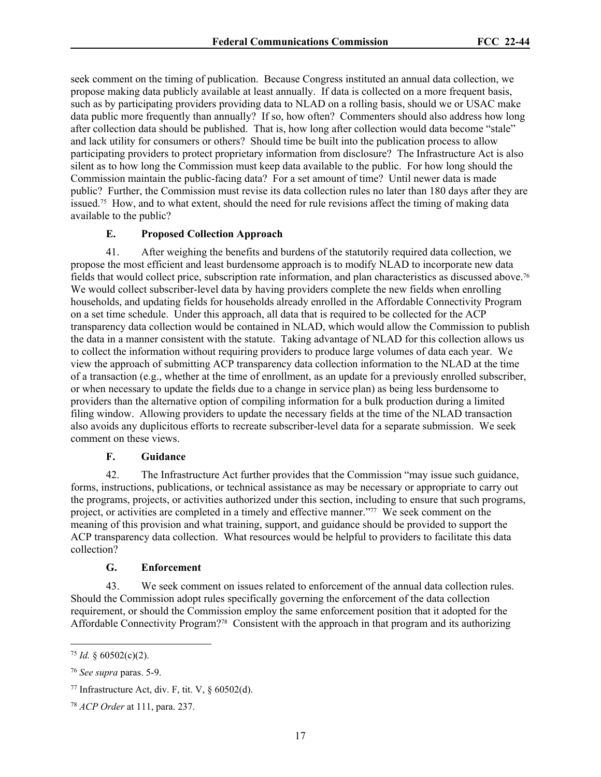seek comment on the timing of publication. Because Congress instituted an annual data collection, we propose making data publicly available at least annually. If data is collected on a more frequent basis, such as by participating providers providing data to NLAD on a rolling basis, should we or USAC make data public more frequently than annually? If so, how often? Commenters should also address how long after collection data should be published. That is, how long after collection would data become "stale" and lack utility for consumers or others? Should time be built into the publication process to allow participating providers to protect proprietary information from disclosure? The Infrastructure Act is also silent as to how long the Commission must keep data available to the public. For how long should the Commission maintain the public-facing data? For a set amount of time? Until newer data is made public? Further, the Commission must revise its data collection rules no later than 180 days after they are issued.75 How, and to what extent, should the need for rule revisions affect the timing of making data available to the public?

### **E. Proposed Collection Approach**

41. After weighing the benefits and burdens of the statutorily required data collection, we propose the most efficient and least burdensome approach is to modify NLAD to incorporate new data fields that would collect price, subscription rate information, and plan characteristics as discussed above.<sup>76</sup> We would collect subscriber-level data by having providers complete the new fields when enrolling households, and updating fields for households already enrolled in the Affordable Connectivity Program on a set time schedule. Under this approach, all data that is required to be collected for the ACP transparency data collection would be contained in NLAD, which would allow the Commission to publish the data in a manner consistent with the statute. Taking advantage of NLAD for this collection allows us to collect the information without requiring providers to produce large volumes of data each year. We view the approach of submitting ACP transparency data collection information to the NLAD at the time of a transaction (e.g., whether at the time of enrollment, as an update for a previously enrolled subscriber, or when necessary to update the fields due to a change in service plan) as being less burdensome to providers than the alternative option of compiling information for a bulk production during a limited filing window. Allowing providers to update the necessary fields at the time of the NLAD transaction also avoids any duplicitous efforts to recreate subscriber-level data for a separate submission. We seek comment on these views.

#### **F. Guidance**

42. The Infrastructure Act further provides that the Commission "may issue such guidance, forms, instructions, publications, or technical assistance as may be necessary or appropriate to carry out the programs, projects, or activities authorized under this section, including to ensure that such programs, project, or activities are completed in a timely and effective manner."77 We seek comment on the meaning of this provision and what training, support, and guidance should be provided to support the ACP transparency data collection. What resources would be helpful to providers to facilitate this data collection?

#### **G. Enforcement**

43. We seek comment on issues related to enforcement of the annual data collection rules. Should the Commission adopt rules specifically governing the enforcement of the data collection requirement, or should the Commission employ the same enforcement position that it adopted for the Affordable Connectivity Program?78 Consistent with the approach in that program and its authorizing

 $75$  *Id.* § 60502(c)(2).

<sup>76</sup> *See supra* paras. 5-9.

<sup>&</sup>lt;sup>77</sup> Infrastructure Act, div. F, tit. V,  $\S$  60502(d).

<sup>78</sup> *ACP Order* at 111, para. 237.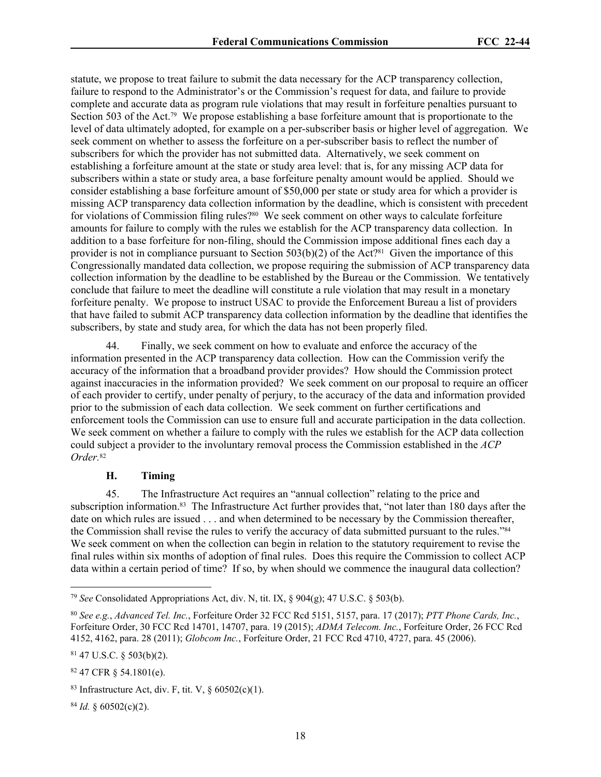statute, we propose to treat failure to submit the data necessary for the ACP transparency collection, failure to respond to the Administrator's or the Commission's request for data, and failure to provide complete and accurate data as program rule violations that may result in forfeiture penalties pursuant to Section 503 of the Act.<sup>79</sup> We propose establishing a base for feiture amount that is proportionate to the level of data ultimately adopted, for example on a per-subscriber basis or higher level of aggregation. We seek comment on whether to assess the forfeiture on a per-subscriber basis to reflect the number of subscribers for which the provider has not submitted data. Alternatively, we seek comment on establishing a forfeiture amount at the state or study area level: that is, for any missing ACP data for subscribers within a state or study area, a base forfeiture penalty amount would be applied. Should we consider establishing a base forfeiture amount of \$50,000 per state or study area for which a provider is missing ACP transparency data collection information by the deadline, which is consistent with precedent for violations of Commission filing rules?<sup>80</sup> We seek comment on other ways to calculate forfeiture amounts for failure to comply with the rules we establish for the ACP transparency data collection. In addition to a base forfeiture for non-filing, should the Commission impose additional fines each day a provider is not in compliance pursuant to Section  $503(b)(2)$  of the Act?<sup>81</sup> Given the importance of this Congressionally mandated data collection, we propose requiring the submission of ACP transparency data collection information by the deadline to be established by the Bureau or the Commission. We tentatively conclude that failure to meet the deadline will constitute a rule violation that may result in a monetary forfeiture penalty. We propose to instruct USAC to provide the Enforcement Bureau a list of providers that have failed to submit ACP transparency data collection information by the deadline that identifies the subscribers, by state and study area, for which the data has not been properly filed.

44. Finally, we seek comment on how to evaluate and enforce the accuracy of the information presented in the ACP transparency data collection. How can the Commission verify the accuracy of the information that a broadband provider provides? How should the Commission protect against inaccuracies in the information provided? We seek comment on our proposal to require an officer of each provider to certify, under penalty of perjury, to the accuracy of the data and information provided prior to the submission of each data collection. We seek comment on further certifications and enforcement tools the Commission can use to ensure full and accurate participation in the data collection. We seek comment on whether a failure to comply with the rules we establish for the ACP data collection could subject a provider to the involuntary removal process the Commission established in the *ACP Order.*<sup>82</sup>

### **H. Timing**

45. The Infrastructure Act requires an "annual collection" relating to the price and subscription information.83 The Infrastructure Act further provides that, "not later than 180 days after the date on which rules are issued . . . and when determined to be necessary by the Commission thereafter, the Commission shall revise the rules to verify the accuracy of data submitted pursuant to the rules."<sup>84</sup> We seek comment on when the collection can begin in relation to the statutory requirement to revise the final rules within six months of adoption of final rules. Does this require the Commission to collect ACP data within a certain period of time? If so, by when should we commence the inaugural data collection?

<sup>84</sup> *Id.* § 60502(c)(2).

<sup>79</sup> *See* Consolidated Appropriations Act, div. N, tit. IX, § 904(g); 47 U.S.C. § 503(b).

<sup>80</sup> *See e.g.*, *Advanced Tel. Inc.*, Forfeiture Order 32 FCC Rcd 5151, 5157, para. 17 (2017); *PTT Phone Cards, Inc.*, Forfeiture Order, 30 FCC Rcd 14701, 14707, para. 19 (2015); *ADMA Telecom. Inc.*, Forfeiture Order, 26 FCC Rcd 4152, 4162, para. 28 (2011); *Globcom Inc.*, Forfeiture Order, 21 FCC Rcd 4710, 4727, para. 45 (2006).

 $81$  47 U.S.C. § 503(b)(2).

<sup>82</sup> 47 CFR § 54.1801(e).

<sup>&</sup>lt;sup>83</sup> Infrastructure Act, div. F, tit. V,  $\S$  60502(c)(1).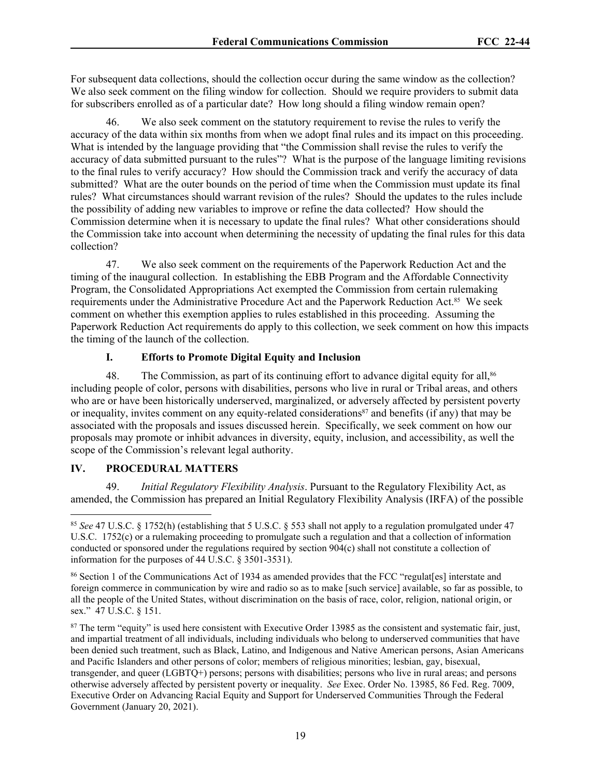For subsequent data collections, should the collection occur during the same window as the collection? We also seek comment on the filing window for collection. Should we require providers to submit data for subscribers enrolled as of a particular date? How long should a filing window remain open?

46. We also seek comment on the statutory requirement to revise the rules to verify the accuracy of the data within six months from when we adopt final rules and its impact on this proceeding. What is intended by the language providing that "the Commission shall revise the rules to verify the accuracy of data submitted pursuant to the rules"? What is the purpose of the language limiting revisions to the final rules to verify accuracy? How should the Commission track and verify the accuracy of data submitted? What are the outer bounds on the period of time when the Commission must update its final rules? What circumstances should warrant revision of the rules? Should the updates to the rules include the possibility of adding new variables to improve or refine the data collected? How should the Commission determine when it is necessary to update the final rules? What other considerations should the Commission take into account when determining the necessity of updating the final rules for this data collection?

47. We also seek comment on the requirements of the Paperwork Reduction Act and the timing of the inaugural collection. In establishing the EBB Program and the Affordable Connectivity Program, the Consolidated Appropriations Act exempted the Commission from certain rulemaking requirements under the Administrative Procedure Act and the Paperwork Reduction Act.85 We seek comment on whether this exemption applies to rules established in this proceeding. Assuming the Paperwork Reduction Act requirements do apply to this collection, we seek comment on how this impacts the timing of the launch of the collection.

# **I. Efforts to Promote Digital Equity and Inclusion**

48. The Commission, as part of its continuing effort to advance digital equity for all,<sup>86</sup> including people of color, persons with disabilities, persons who live in rural or Tribal areas, and others who are or have been historically underserved, marginalized, or adversely affected by persistent poverty or inequality, invites comment on any equity-related considerations87 and benefits (if any) that may be associated with the proposals and issues discussed herein. Specifically, we seek comment on how our proposals may promote or inhibit advances in diversity, equity, inclusion, and accessibility, as well the scope of the Commission's relevant legal authority.

# **IV. PROCEDURAL MATTERS**

49. *Initial Regulatory Flexibility Analysis*. Pursuant to the Regulatory Flexibility Act, as amended, the Commission has prepared an Initial Regulatory Flexibility Analysis (IRFA) of the possible

<sup>85</sup> *See* 47 U.S.C. § 1752(h) (establishing that 5 U.S.C. § 553 shall not apply to a regulation promulgated under 47 U.S.C. 1752(c) or a rulemaking proceeding to promulgate such a regulation and that a collection of information conducted or sponsored under the regulations required by section 904(c) shall not constitute a collection of information for the purposes of 44 U.S.C. § 3501-3531).

<sup>86</sup> Section 1 of the Communications Act of 1934 as amended provides that the FCC "regulat[es] interstate and foreign commerce in communication by wire and radio so as to make [such service] available, so far as possible, to all the people of the United States, without discrimination on the basis of race, color, religion, national origin, or sex." 47 U.S.C. § 151.

<sup>&</sup>lt;sup>87</sup> The term "equity" is used here consistent with Executive Order 13985 as the consistent and systematic fair, just, and impartial treatment of all individuals, including individuals who belong to underserved communities that have been denied such treatment, such as Black, Latino, and Indigenous and Native American persons, Asian Americans and Pacific Islanders and other persons of color; members of religious minorities; lesbian, gay, bisexual, transgender, and queer (LGBTQ+) persons; persons with disabilities; persons who live in rural areas; and persons otherwise adversely affected by persistent poverty or inequality. *See* Exec. Order No. 13985, 86 Fed. Reg. 7009, Executive Order on Advancing Racial Equity and Support for Underserved Communities Through the Federal Government (January 20, 2021).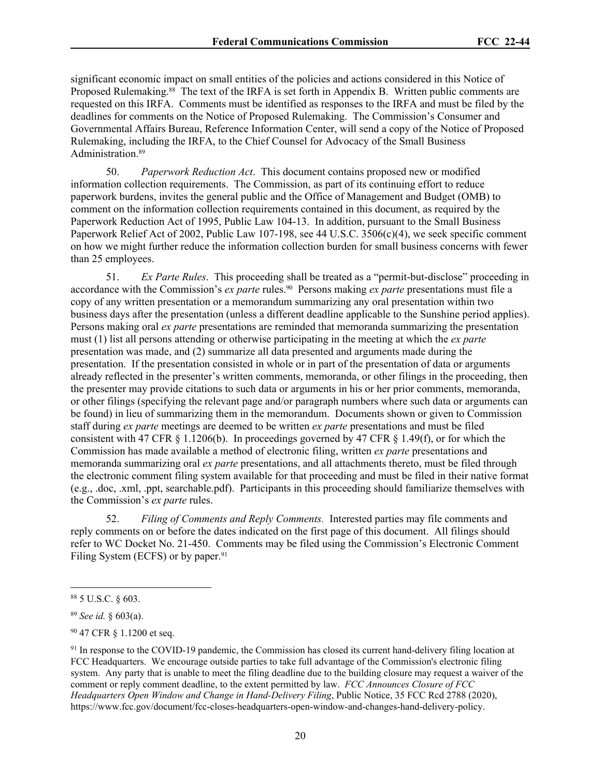significant economic impact on small entities of the policies and actions considered in this Notice of Proposed Rulemaking.88 The text of the IRFA is set forth in Appendix B. Written public comments are requested on this IRFA. Comments must be identified as responses to the IRFA and must be filed by the deadlines for comments on the Notice of Proposed Rulemaking. The Commission's Consumer and Governmental Affairs Bureau, Reference Information Center, will send a copy of the Notice of Proposed Rulemaking, including the IRFA, to the Chief Counsel for Advocacy of the Small Business Administration.<sup>89</sup>

50. *Paperwork Reduction Act*. This document contains proposed new or modified information collection requirements. The Commission, as part of its continuing effort to reduce paperwork burdens, invites the general public and the Office of Management and Budget (OMB) to comment on the information collection requirements contained in this document, as required by the Paperwork Reduction Act of 1995, Public Law 104-13. In addition, pursuant to the Small Business Paperwork Relief Act of 2002, Public Law 107-198, see 44 U.S.C. 3506(c)(4), we seek specific comment on how we might further reduce the information collection burden for small business concerns with fewer than 25 employees.

51. *Ex Parte Rules*. This proceeding shall be treated as a "permit-but-disclose" proceeding in accordance with the Commission's *ex parte* rules.<sup>90</sup> Persons making *ex parte* presentations must file a copy of any written presentation or a memorandum summarizing any oral presentation within two business days after the presentation (unless a different deadline applicable to the Sunshine period applies). Persons making oral *ex parte* presentations are reminded that memoranda summarizing the presentation must (1) list all persons attending or otherwise participating in the meeting at which the *ex parte* presentation was made, and (2) summarize all data presented and arguments made during the presentation. If the presentation consisted in whole or in part of the presentation of data or arguments already reflected in the presenter's written comments, memoranda, or other filings in the proceeding, then the presenter may provide citations to such data or arguments in his or her prior comments, memoranda, or other filings (specifying the relevant page and/or paragraph numbers where such data or arguments can be found) in lieu of summarizing them in the memorandum. Documents shown or given to Commission staff during *ex parte* meetings are deemed to be written *ex parte* presentations and must be filed consistent with 47 CFR  $\S 1.1206(b)$ . In proceedings governed by 47 CFR  $\S 1.49(f)$ , or for which the Commission has made available a method of electronic filing, written *ex parte* presentations and memoranda summarizing oral *ex parte* presentations, and all attachments thereto, must be filed through the electronic comment filing system available for that proceeding and must be filed in their native format (e.g., .doc, .xml, .ppt, searchable.pdf). Participants in this proceeding should familiarize themselves with the Commission's *ex parte* rules.

52. *Filing of Comments and Reply Comments.* Interested parties may file comments and reply comments on or before the dates indicated on the first page of this document. All filings should refer to WC Docket No. 21-450. Comments may be filed using the Commission's Electronic Comment Filing System (ECFS) or by paper.<sup>91</sup>

<sup>88</sup> 5 U.S.C. § 603.

<sup>89</sup> *See id.* § 603(a).

<sup>90</sup> 47 CFR § 1.1200 et seq.

<sup>&</sup>lt;sup>91</sup> In response to the COVID-19 pandemic, the Commission has closed its current hand-delivery filing location at FCC Headquarters. We encourage outside parties to take full advantage of the Commission's electronic filing system. Any party that is unable to meet the filing deadline due to the building closure may request a waiver of the comment or reply comment deadline, to the extent permitted by law. *FCC Announces Closure of FCC Headquarters Open Window and Change in Hand-Delivery Filing*, Public Notice, 35 FCC Rcd 2788 (2020), https://www.fcc.gov/document/fcc-closes-headquarters-open-window-and-changes-hand-delivery-policy.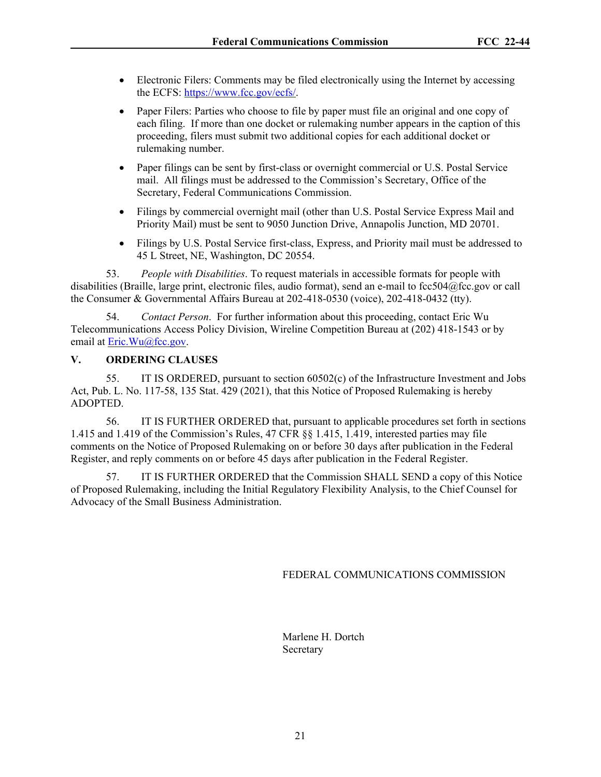- Electronic Filers: Comments may be filed electronically using the Internet by accessing the ECFS: <https://www.fcc.gov/ecfs/>.
- Paper Filers: Parties who choose to file by paper must file an original and one copy of each filing. If more than one docket or rulemaking number appears in the caption of this proceeding, filers must submit two additional copies for each additional docket or rulemaking number.
- Paper filings can be sent by first-class or overnight commercial or U.S. Postal Service mail. All filings must be addressed to the Commission's Secretary, Office of the Secretary, Federal Communications Commission.
- Filings by commercial overnight mail (other than U.S. Postal Service Express Mail and Priority Mail) must be sent to 9050 Junction Drive, Annapolis Junction, MD 20701.
- Filings by U.S. Postal Service first-class, Express, and Priority mail must be addressed to 45 L Street, NE, Washington, DC 20554.

53. *People with Disabilities*. To request materials in accessible formats for people with disabilities (Braille, large print, electronic files, audio format), send an e-mail to fcc504@fcc.gov or call the Consumer & Governmental Affairs Bureau at 202-418-0530 (voice), 202-418-0432 (tty).

54. *Contact Person*. For further information about this proceeding, contact Eric Wu Telecommunications Access Policy Division, Wireline Competition Bureau at (202) 418-1543 or by email at [Eric.Wu@fcc.gov.](file:///C:/Users/Trent.Harkrader/AppData/Local/Microsoft/Windows/INetCache/Content.Outlook/L01JS28G/Eric.Wu@fcc.gov)

### **V. ORDERING CLAUSES**

55. IT IS ORDERED, pursuant to section 60502(c) of the Infrastructure Investment and Jobs Act, Pub. L. No. 117-58, 135 Stat. 429 (2021), that this Notice of Proposed Rulemaking is hereby ADOPTED.

56. IT IS FURTHER ORDERED that, pursuant to applicable procedures set forth in sections 1.415 and 1.419 of the Commission's Rules, 47 CFR §§ 1.415, 1.419, interested parties may file comments on the Notice of Proposed Rulemaking on or before 30 days after publication in the Federal Register, and reply comments on or before 45 days after publication in the Federal Register.

57. IT IS FURTHER ORDERED that the Commission SHALL SEND a copy of this Notice of Proposed Rulemaking, including the Initial Regulatory Flexibility Analysis, to the Chief Counsel for Advocacy of the Small Business Administration.

FEDERAL COMMUNICATIONS COMMISSION

Marlene H. Dortch **Secretary**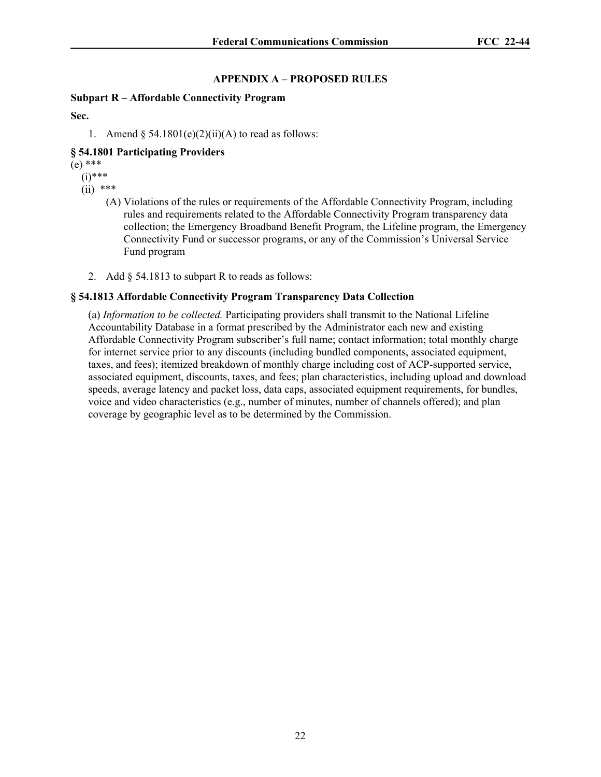# **APPENDIX A – PROPOSED RULES**

# **Subpart R – Affordable Connectivity Program**

**Sec.**

1. Amend  $\S$  54.1801(e)(2)(ii)(A) to read as follows:

# **§ 54.1801 Participating Providers**

(e) \*\*\*

- (i)\*\*\*
- $(ii)$  \*\*\*
	- (A) Violations of the rules or requirements of the Affordable Connectivity Program, including rules and requirements related to the Affordable Connectivity Program transparency data collection; the Emergency Broadband Benefit Program, the Lifeline program, the Emergency Connectivity Fund or successor programs, or any of the Commission's Universal Service Fund program
	- 2. Add § 54.1813 to subpart R to reads as follows:

# **§ 54.1813 Affordable Connectivity Program Transparency Data Collection**

(a) *Information to be collected.* Participating providers shall transmit to the National Lifeline Accountability Database in a format prescribed by the Administrator each new and existing Affordable Connectivity Program subscriber's full name; contact information; total monthly charge for internet service prior to any discounts (including bundled components, associated equipment, taxes, and fees); itemized breakdown of monthly charge including cost of ACP-supported service, associated equipment, discounts, taxes, and fees; plan characteristics, including upload and download speeds, average latency and packet loss, data caps, associated equipment requirements, for bundles, voice and video characteristics (e.g., number of minutes, number of channels offered); and plan coverage by geographic level as to be determined by the Commission.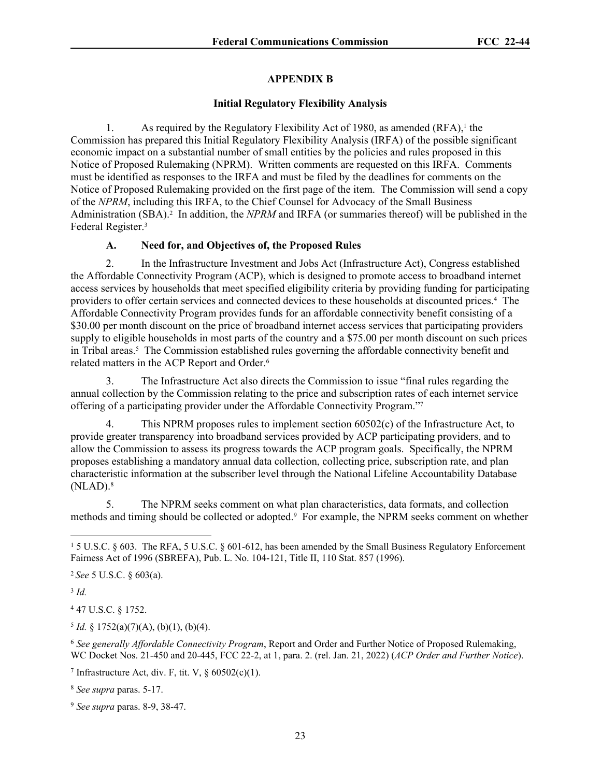# **APPENDIX B**

## **Initial Regulatory Flexibility Analysis**

1. As required by the Regulatory Flexibility Act of 1980, as amended  $(RFA)$ ,<sup>1</sup> the Commission has prepared this Initial Regulatory Flexibility Analysis (IRFA) of the possible significant economic impact on a substantial number of small entities by the policies and rules proposed in this Notice of Proposed Rulemaking (NPRM). Written comments are requested on this IRFA. Comments must be identified as responses to the IRFA and must be filed by the deadlines for comments on the Notice of Proposed Rulemaking provided on the first page of the item. The Commission will send a copy of the *NPRM*, including this IRFA, to the Chief Counsel for Advocacy of the Small Business Administration (SBA).<sup>2</sup> In addition, the *NPRM* and IRFA (or summaries thereof) will be published in the Federal Register.<sup>3</sup>

# **A. Need for, and Objectives of, the Proposed Rules**

2. In the Infrastructure Investment and Jobs Act (Infrastructure Act), Congress established the Affordable Connectivity Program (ACP), which is designed to promote access to broadband internet access services by households that meet specified eligibility criteria by providing funding for participating providers to offer certain services and connected devices to these households at discounted prices.<sup>4</sup> The Affordable Connectivity Program provides funds for an affordable connectivity benefit consisting of a \$30.00 per month discount on the price of broadband internet access services that participating providers supply to eligible households in most parts of the country and a \$75.00 per month discount on such prices in Tribal areas.<sup>5</sup> The Commission established rules governing the affordable connectivity benefit and related matters in the ACP Report and Order.<sup>6</sup>

3. The Infrastructure Act also directs the Commission to issue "final rules regarding the annual collection by the Commission relating to the price and subscription rates of each internet service offering of a participating provider under the Affordable Connectivity Program."<sup>7</sup>

4. This NPRM proposes rules to implement section 60502(c) of the Infrastructure Act, to provide greater transparency into broadband services provided by ACP participating providers, and to allow the Commission to assess its progress towards the ACP program goals. Specifically, the NPRM proposes establishing a mandatory annual data collection, collecting price, subscription rate, and plan characteristic information at the subscriber level through the National Lifeline Accountability Database  $(NLAD).$ <sup>8</sup>

5. The NPRM seeks comment on what plan characteristics, data formats, and collection methods and timing should be collected or adopted.<sup>9</sup> For example, the NPRM seeks comment on whether

3 *Id.*

4 47 U.S.C. § 1752.

 $<sup>5</sup> Id. \S 1752(a)(7)(A), (b)(1), (b)(4).$ </sup>

<sup>6</sup> *See generally Affordable Connectivity Program*, Report and Order and Further Notice of Proposed Rulemaking, WC Docket Nos. 21-450 and 20-445, FCC 22-2, at 1, para. 2. (rel. Jan. 21, 2022) (*ACP Order and Further Notice*).

<sup>8</sup> *See supra* paras. 5-17.

<sup>&</sup>lt;sup>1</sup> 5 U.S.C. § 603. The RFA, 5 U.S.C. § 601-612, has been amended by the Small Business Regulatory Enforcement Fairness Act of 1996 (SBREFA), Pub. L. No. 104-121, Title II, 110 Stat. 857 (1996).

<sup>2</sup>*See* 5 U.S.C. § 603(a).

<sup>&</sup>lt;sup>7</sup> Infrastructure Act, div. F, tit. V,  $\S$  60502(c)(1).

<sup>9</sup> *See supra* paras. 8-9, 38-47.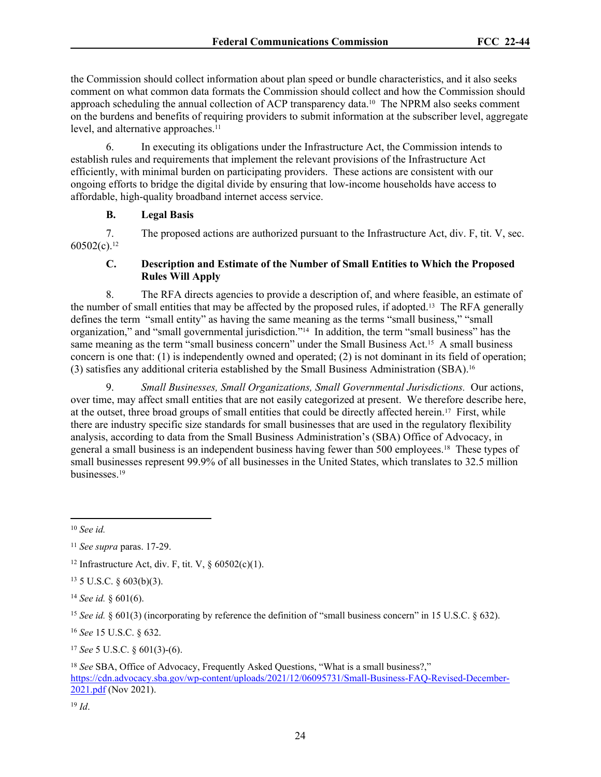the Commission should collect information about plan speed or bundle characteristics, and it also seeks comment on what common data formats the Commission should collect and how the Commission should approach scheduling the annual collection of ACP transparency data.<sup>10</sup> The NPRM also seeks comment on the burdens and benefits of requiring providers to submit information at the subscriber level, aggregate level, and alternative approaches.<sup>11</sup>

6. In executing its obligations under the Infrastructure Act, the Commission intends to establish rules and requirements that implement the relevant provisions of the Infrastructure Act efficiently, with minimal burden on participating providers. These actions are consistent with our ongoing efforts to bridge the digital divide by ensuring that low-income households have access to affordable, high-quality broadband internet access service.

### **B. Legal Basis**

7. The proposed actions are authorized pursuant to the Infrastructure Act, div. F, tit. V, sec.  $60502(c).$ <sup>12</sup>

# **C. Description and Estimate of the Number of Small Entities to Which the Proposed Rules Will Apply**

8. The RFA directs agencies to provide a description of, and where feasible, an estimate of the number of small entities that may be affected by the proposed rules, if adopted.13 The RFA generally defines the term "small entity" as having the same meaning as the terms "small business," "small organization," and "small governmental jurisdiction."14 In addition, the term "small business" has the same meaning as the term "small business concern" under the Small Business Act.<sup>15</sup> A small business concern is one that: (1) is independently owned and operated; (2) is not dominant in its field of operation; (3) satisfies any additional criteria established by the Small Business Administration (SBA).<sup>16</sup>

9. *Small Businesses, Small Organizations, Small Governmental Jurisdictions.* Our actions, over time, may affect small entities that are not easily categorized at present. We therefore describe here, at the outset, three broad groups of small entities that could be directly affected herein.17 First, while there are industry specific size standards for small businesses that are used in the regulatory flexibility analysis, according to data from the Small Business Administration's (SBA) Office of Advocacy, in general a small business is an independent business having fewer than 500 employees.18 These types of small businesses represent 99.9% of all businesses in the United States, which translates to 32.5 million businesses.<sup>19</sup>

 $13$  5 U.S.C. § 603(b)(3).

<sup>14</sup> *See id.* § 601(6).

<sup>15</sup> *See id.* § 601(3) (incorporating by reference the definition of "small business concern" in 15 U.S.C. § 632).

<sup>16</sup> *See* 15 U.S.C. § 632.

<sup>17</sup> *See* 5 U.S.C. § 601(3)-(6).

<sup>19</sup> *Id*.

<sup>10</sup> *See id.* 

<sup>11</sup> *See supra* paras. 17-29.

<sup>&</sup>lt;sup>12</sup> Infrastructure Act, div. F, tit. V,  $\frac{60502(c)(1)}{c}$ .

<sup>&</sup>lt;sup>18</sup> See SBA, Office of Advocacy, Frequently Asked Questions, "What is a small business?," [https://cdn.advocacy.sba.gov/wp-content/uploads/2021/12/06095731/Small-Business-FAQ-Revised-December-](https://cdn.advocacy.sba.gov/wp-content/uploads/2021/12/06095731/Small-Business-FAQ-Revised-December-2021.pdf%20)[2021.pdf](https://cdn.advocacy.sba.gov/wp-content/uploads/2021/12/06095731/Small-Business-FAQ-Revised-December-2021.pdf%20) (Nov 2021).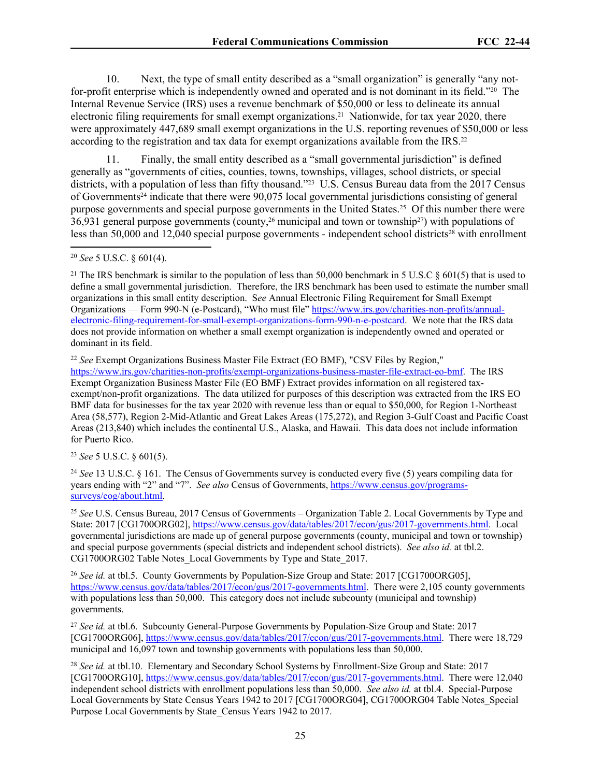10. Next, the type of small entity described as a "small organization" is generally "any notfor-profit enterprise which is independently owned and operated and is not dominant in its field."20 The Internal Revenue Service (IRS) uses a revenue benchmark of \$50,000 or less to delineate its annual electronic filing requirements for small exempt organizations.21 Nationwide, for tax year 2020, there were approximately 447,689 small exempt organizations in the U.S. reporting revenues of \$50,000 or less according to the registration and tax data for exempt organizations available from the IRS.<sup>22</sup>

11. Finally, the small entity described as a "small governmental jurisdiction" is defined generally as "governments of cities, counties, towns, townships, villages, school districts, or special districts, with a population of less than fifty thousand."<sup>23</sup> U.S. Census Bureau data from the 2017 Census of Governments24 indicate that there were 90,075 local governmental jurisdictions consisting of general purpose governments and special purpose governments in the United States.25 Of this number there were 36,931 general purpose governments (county,26 municipal and town or township27) with populations of less than 50,000 and 12,040 special purpose governments - independent school districts<sup>28</sup> with enrollment

<sup>21</sup> The IRS benchmark is similar to the population of less than 50,000 benchmark in 5 U.S.C  $\S$  601(5) that is used to define a small governmental jurisdiction. Therefore, the IRS benchmark has been used to estimate the number small organizations in this small entity description. S*ee* Annual Electronic Filing Requirement for Small Exempt Organizations — Form 990-N (e-Postcard), "Who must file" [https://www.irs.gov/charities-non-profits/annual](https://www.irs.gov/charities-non-profits/annual-electronic-filing-requirement-for-small-exempt-organizations-form-990-n-e-postcard)[electronic-filing-requirement-for-small-exempt-organizations-form-990-n-e-postcard](https://www.irs.gov/charities-non-profits/annual-electronic-filing-requirement-for-small-exempt-organizations-form-990-n-e-postcard). We note that the IRS data does not provide information on whether a small exempt organization is independently owned and operated or dominant in its field.

<sup>22</sup> *See* Exempt Organizations Business Master File Extract (EO BMF), "CSV Files by Region," [https://www.irs.gov/charities-non-profits/exempt-organizations-business-master-file-extract-eo-bmf.](https://www.irs.gov/charities-non-profits/exempt-organizations-business-master-file-extract-eo-bmf) The IRS Exempt Organization Business Master File (EO BMF) Extract provides information on all registered taxexempt/non-profit organizations. The data utilized for purposes of this description was extracted from the IRS EO BMF data for businesses for the tax year 2020 with revenue less than or equal to \$50,000, for Region 1-Northeast Area (58,577), Region 2-Mid-Atlantic and Great Lakes Areas (175,272), and Region 3-Gulf Coast and Pacific Coast Areas (213,840) which includes the continental U.S., Alaska, and Hawaii. This data does not include information for Puerto Rico.

<sup>23</sup> *See* 5 U.S.C. § 601(5).

<sup>24</sup> *See* 13 U.S.C. § 161. The Census of Governments survey is conducted every five (5) years compiling data for years ending with "2" and "7". *See also* Census of Governments, [https://www.census.gov/programs](https://www.census.gov/programs-surveys/cog/about.html)[surveys/cog/about.html.](https://www.census.gov/programs-surveys/cog/about.html)

<sup>25</sup> *See* U.S. Census Bureau, 2017 Census of Governments – Organization Table 2. Local Governments by Type and State: 2017 [CG1700ORG02], [https://www.census.gov/data/tables/2017/econ/gus/2017-governments.html.](https://www.census.gov/data/tables/2017/econ/gus/2017-governments.html) Local governmental jurisdictions are made up of general purpose governments (county, municipal and town or township) and special purpose governments (special districts and independent school districts). *See also id.* at tbl.2. CG1700ORG02 Table Notes\_Local Governments by Type and State\_2017.

<sup>26</sup> *See id.* at tbl.5. County Governments by Population-Size Group and State: 2017 [CG1700ORG05], <https://www.census.gov/data/tables/2017/econ/gus/2017-governments.html>. There were 2,105 county governments with populations less than 50,000. This category does not include subcounty (municipal and township) governments.

<sup>27</sup> *See id.* at tbl.6. Subcounty General-Purpose Governments by Population-Size Group and State: 2017 [CG1700ORG06], <https://www.census.gov/data/tables/2017/econ/gus/2017-governments.html>. There were 18,729 municipal and 16,097 town and township governments with populations less than 50,000.

<sup>28</sup> *See id.* at tbl.10. Elementary and Secondary School Systems by Enrollment-Size Group and State: 2017 [CG1700ORG10], <https://www.census.gov/data/tables/2017/econ/gus/2017-governments.html>. There were 12,040 independent school districts with enrollment populations less than 50,000. *See also id.* at tbl.4. Special-Purpose Local Governments by State Census Years 1942 to 2017 [CG1700ORG04], CG1700ORG04 Table Notes\_Special Purpose Local Governments by State\_Census Years 1942 to 2017.

<sup>20</sup> *See* 5 U.S.C. § 601(4).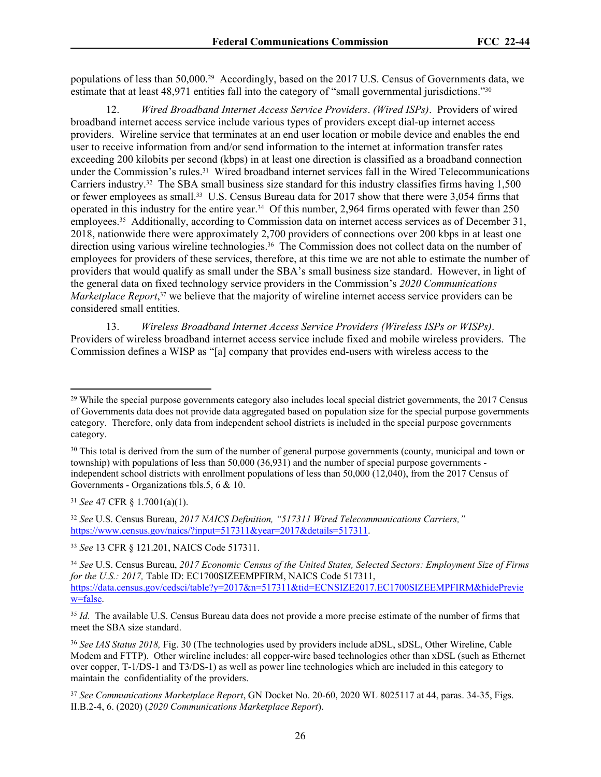populations of less than 50,000.29 Accordingly, based on the 2017 U.S. Census of Governments data, we estimate that at least 48,971 entities fall into the category of "small governmental jurisdictions."<sup>30</sup>

12. *Wired Broadband Internet Access Service Providers*. *(Wired ISPs)*. Providers of wired broadband internet access service include various types of providers except dial-up internet access providers. Wireline service that terminates at an end user location or mobile device and enables the end user to receive information from and/or send information to the internet at information transfer rates exceeding 200 kilobits per second (kbps) in at least one direction is classified as a broadband connection under the Commission's rules.31 Wired broadband internet services fall in the Wired Telecommunications Carriers industry.32 The SBA small business size standard for this industry classifies firms having 1,500 or fewer employees as small.33 U.S. Census Bureau data for 2017 show that there were 3,054 firms that operated in this industry for the entire year.34 Of this number, 2,964 firms operated with fewer than 250 employees.35 Additionally, according to Commission data on internet access services as of December 31, 2018, nationwide there were approximately 2,700 providers of connections over 200 kbps in at least one direction using various wireline technologies.<sup>36</sup> The Commission does not collect data on the number of employees for providers of these services, therefore, at this time we are not able to estimate the number of providers that would qualify as small under the SBA's small business size standard. However, in light of the general data on fixed technology service providers in the Commission's *2020 Communications Marketplace Report*,<sup>37</sup> we believe that the majority of wireline internet access service providers can be considered small entities.

13. *Wireless Broadband Internet Access Service Providers (Wireless ISPs or WISPs)*. Providers of wireless broadband internet access service include fixed and mobile wireless providers. The Commission defines a WISP as "[a] company that provides end-users with wireless access to the

<sup>31</sup> *See* 47 CFR § 1.7001(a)(1).

<sup>32</sup> *See* U.S. Census Bureau, *2017 NAICS Definition, "517311 Wired Telecommunications Carriers,"* [https://www.census.gov/naics/?input=517311&year=2017&details=517311.](https://www.census.gov/naics/?input=517311&year=2017&details=517311)

<sup>33</sup> *See* 13 CFR § 121.201, NAICS Code 517311.

<sup>35</sup> *Id.* The available U.S. Census Bureau data does not provide a more precise estimate of the number of firms that meet the SBA size standard.

<sup>36</sup> *See IAS Status 2018,* Fig. 30 (The technologies used by providers include aDSL, sDSL, Other Wireline, Cable Modem and FTTP). Other wireline includes: all copper-wire based technologies other than xDSL (such as Ethernet over copper, T-1/DS-1 and T3/DS-1) as well as power line technologies which are included in this category to maintain the confidentiality of the providers.

<sup>37</sup> *See Communications Marketplace Report*, GN Docket No. 20-60, 2020 WL 8025117 at 44, paras. 34-35, Figs. II.B.2-4, 6. (2020) (*2020 Communications Marketplace Report*).

<sup>&</sup>lt;sup>29</sup> While the special purpose governments category also includes local special district governments, the 2017 Census of Governments data does not provide data aggregated based on population size for the special purpose governments category. Therefore, only data from independent school districts is included in the special purpose governments category.

<sup>&</sup>lt;sup>30</sup> This total is derived from the sum of the number of general purpose governments (county, municipal and town or township) with populations of less than 50,000 (36,931) and the number of special purpose governments independent school districts with enrollment populations of less than 50,000 (12,040), from the 2017 Census of Governments - Organizations tbls.5, 6 & 10.

<sup>34</sup> *See* U.S. Census Bureau, *2017 Economic Census of the United States, Selected Sectors: Employment Size of Firms for the U.S.: 2017, Table ID: EC1700SIZEEMPFIRM, NAICS Code 517311,* [https://data.census.gov/cedsci/table?y=2017&n=517311&tid=ECNSIZE2017.EC1700SIZEEMPFIRM&hidePrevie](https://data.census.gov/cedsci/table?y=2017&n=517311&tid=ECNSIZE2017.EC1700SIZEEMPFIRM&hidePreview=false) [w=false.](https://data.census.gov/cedsci/table?y=2017&n=517311&tid=ECNSIZE2017.EC1700SIZEEMPFIRM&hidePreview=false)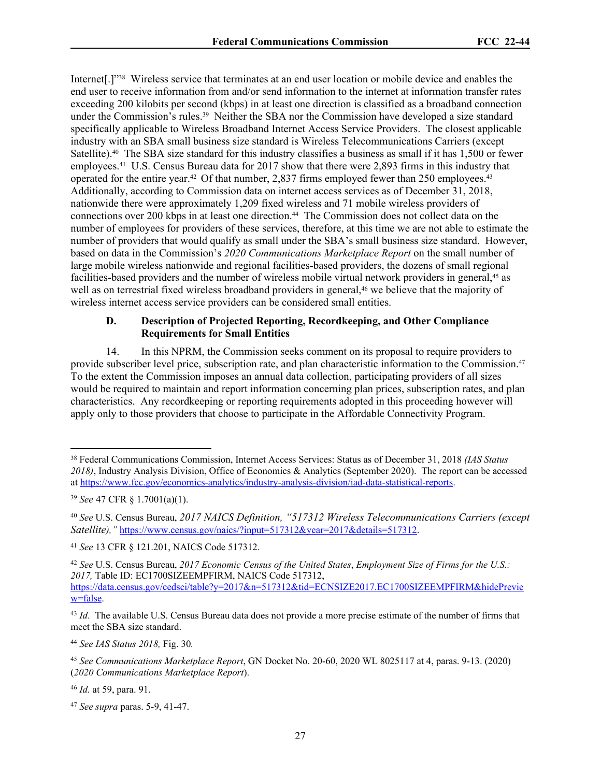Internet[.]"<sup>38</sup> Wireless service that terminates at an end user location or mobile device and enables the end user to receive information from and/or send information to the internet at information transfer rates exceeding 200 kilobits per second (kbps) in at least one direction is classified as a broadband connection under the Commission's rules.39 Neither the SBA nor the Commission have developed a size standard specifically applicable to Wireless Broadband Internet Access Service Providers. The closest applicable industry with an SBA small business size standard is Wireless Telecommunications Carriers (except Satellite).40 The SBA size standard for this industry classifies a business as small if it has 1,500 or fewer employees.41 U.S. Census Bureau data for 2017 show that there were 2,893 firms in this industry that operated for the entire year.<sup>42</sup> Of that number, 2,837 firms employed fewer than 250 employees.<sup>43</sup> Additionally, according to Commission data on internet access services as of December 31, 2018, nationwide there were approximately 1,209 fixed wireless and 71 mobile wireless providers of connections over 200 kbps in at least one direction.<sup>44</sup> The Commission does not collect data on the number of employees for providers of these services, therefore, at this time we are not able to estimate the number of providers that would qualify as small under the SBA's small business size standard. However, based on data in the Commission's *2020 Communications Marketplace Report* on the small number of large mobile wireless nationwide and regional facilities-based providers, the dozens of small regional facilities-based providers and the number of wireless mobile virtual network providers in general,<sup>45</sup> as well as on terrestrial fixed wireless broadband providers in general,<sup>46</sup> we believe that the majority of wireless internet access service providers can be considered small entities.

### **D. Description of Projected Reporting, Recordkeeping, and Other Compliance Requirements for Small Entities**

14. In this NPRM, the Commission seeks comment on its proposal to require providers to provide subscriber level price, subscription rate, and plan characteristic information to the Commission.<sup>47</sup> To the extent the Commission imposes an annual data collection, participating providers of all sizes would be required to maintain and report information concerning plan prices, subscription rates, and plan characteristics. Any recordkeeping or reporting requirements adopted in this proceeding however will apply only to those providers that choose to participate in the Affordable Connectivity Program.

<sup>44</sup> *See IAS Status 2018,* Fig. 30*.* 

<sup>46</sup> *Id.* at 59, para. 91.

<sup>38</sup> Federal Communications Commission, Internet Access Services: Status as of December 31, 2018 *(IAS Status 2018)*, Industry Analysis Division, Office of Economics & Analytics (September 2020). The report can be accessed at [https://www.fcc.gov/economics-analytics/industry-analysis-division/iad-data-statistical-reports.](https://www.fcc.gov/economics-analytics/industry-analysis-division/iad-data-statistical-reports)

<sup>39</sup> *See* 47 CFR § 1.7001(a)(1).

<sup>40</sup> *See* U.S. Census Bureau, *2017 NAICS Definition, "517312 Wireless Telecommunications Carriers (except Satellite),"* [https://www.census.gov/naics/?input=517312&year=2017&details=517312.](https://www.census.gov/naics/?input=517911&year=2017&details=517911)

<sup>41</sup> *See* 13 CFR § 121.201, NAICS Code 517312.

<sup>42</sup> *See* U.S. Census Bureau, *2017 Economic Census of the United States*, *Employment Size of Firms for the U.S.: 2017,* Table ID: EC1700SIZEEMPFIRM, NAICS Code 517312, [https://data.census.gov/cedsci/table?y=2017&n=517312&tid=ECNSIZE2017.EC1700SIZEEMPFIRM&hidePrevie](https://data.census.gov/cedsci/table?y=2017&n=517312&tid=ECNSIZE2017.EC1700SIZEEMPFIRM&hidePreview=false) [w=false.](https://data.census.gov/cedsci/table?y=2017&n=517312&tid=ECNSIZE2017.EC1700SIZEEMPFIRM&hidePreview=false)

<sup>&</sup>lt;sup>43</sup> *Id.* The available U.S. Census Bureau data does not provide a more precise estimate of the number of firms that meet the SBA size standard.

<sup>45</sup> *See Communications Marketplace Report*, GN Docket No. 20-60, 2020 WL 8025117 at 4, paras. 9-13. (2020) (*2020 Communications Marketplace Report*).

<sup>47</sup> *See supra* paras. 5-9, 41-47.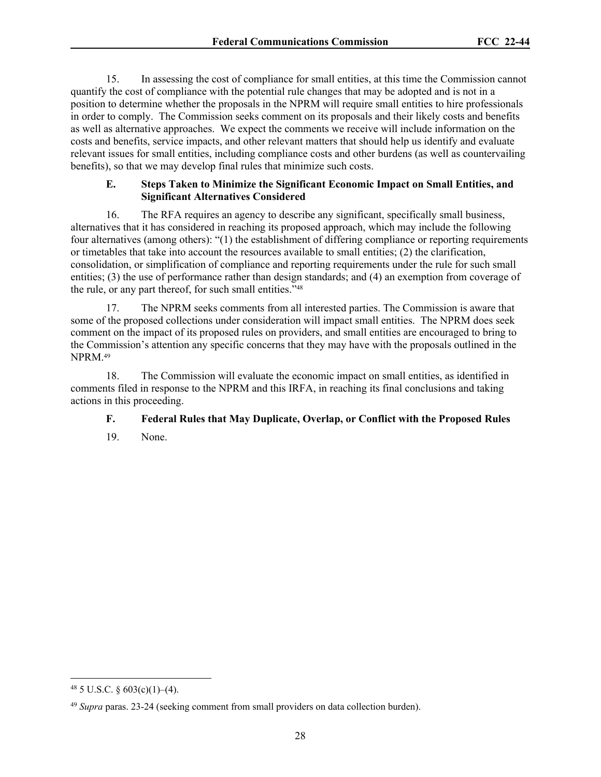15. In assessing the cost of compliance for small entities, at this time the Commission cannot quantify the cost of compliance with the potential rule changes that may be adopted and is not in a position to determine whether the proposals in the NPRM will require small entities to hire professionals in order to comply. The Commission seeks comment on its proposals and their likely costs and benefits as well as alternative approaches. We expect the comments we receive will include information on the costs and benefits, service impacts, and other relevant matters that should help us identify and evaluate relevant issues for small entities, including compliance costs and other burdens (as well as countervailing benefits), so that we may develop final rules that minimize such costs.

## **E. Steps Taken to Minimize the Significant Economic Impact on Small Entities, and Significant Alternatives Considered**

16. The RFA requires an agency to describe any significant, specifically small business, alternatives that it has considered in reaching its proposed approach, which may include the following four alternatives (among others): "(1) the establishment of differing compliance or reporting requirements or timetables that take into account the resources available to small entities; (2) the clarification, consolidation, or simplification of compliance and reporting requirements under the rule for such small entities; (3) the use of performance rather than design standards; and (4) an exemption from coverage of the rule, or any part thereof, for such small entities."<sup>48</sup>

17. The NPRM seeks comments from all interested parties. The Commission is aware that some of the proposed collections under consideration will impact small entities. The NPRM does seek comment on the impact of its proposed rules on providers, and small entities are encouraged to bring to the Commission's attention any specific concerns that they may have with the proposals outlined in the NPRM.<sup>49</sup>

18. The Commission will evaluate the economic impact on small entities, as identified in comments filed in response to the NPRM and this IRFA, in reaching its final conclusions and taking actions in this proceeding.

# **F. Federal Rules that May Duplicate, Overlap, or Conflict with the Proposed Rules**

19. None.

 $48$  5 U.S.C. § 603(c)(1)–(4).

<sup>49</sup> *Supra* paras. 23-24 (seeking comment from small providers on data collection burden).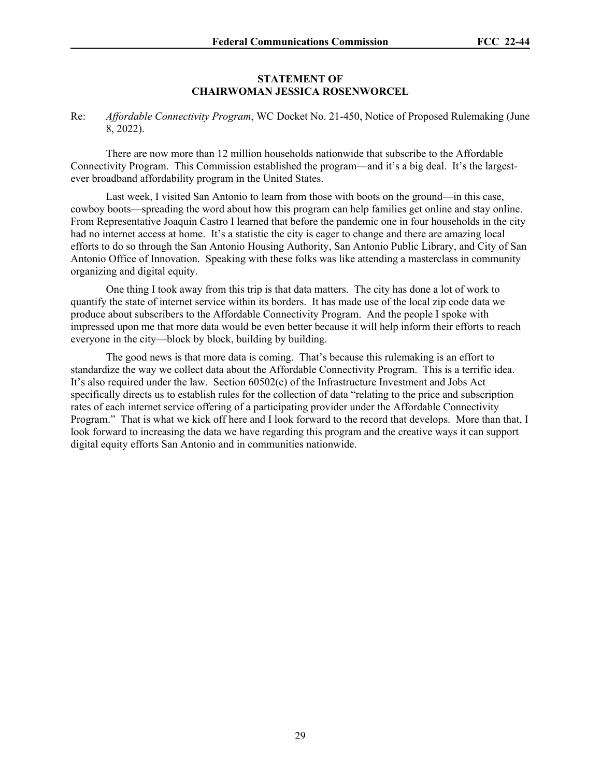#### **STATEMENT OF CHAIRWOMAN JESSICA ROSENWORCEL**

Re: *Affordable Connectivity Program*, WC Docket No. 21-450, Notice of Proposed Rulemaking (June 8, 2022).

There are now more than 12 million households nationwide that subscribe to the Affordable Connectivity Program. This Commission established the program—and it's a big deal. It's the largestever broadband affordability program in the United States.

Last week, I visited San Antonio to learn from those with boots on the ground—in this case, cowboy boots—spreading the word about how this program can help families get online and stay online. From Representative Joaquin Castro I learned that before the pandemic one in four households in the city had no internet access at home. It's a statistic the city is eager to change and there are amazing local efforts to do so through the San Antonio Housing Authority, San Antonio Public Library, and City of San Antonio Office of Innovation. Speaking with these folks was like attending a masterclass in community organizing and digital equity.

One thing I took away from this trip is that data matters. The city has done a lot of work to quantify the state of internet service within its borders. It has made use of the local zip code data we produce about subscribers to the Affordable Connectivity Program. And the people I spoke with impressed upon me that more data would be even better because it will help inform their efforts to reach everyone in the city—block by block, building by building.

The good news is that more data is coming. That's because this rulemaking is an effort to standardize the way we collect data about the Affordable Connectivity Program. This is a terrific idea. It's also required under the law. Section 60502(c) of the Infrastructure Investment and Jobs Act specifically directs us to establish rules for the collection of data "relating to the price and subscription rates of each internet service offering of a participating provider under the Affordable Connectivity Program." That is what we kick off here and I look forward to the record that develops. More than that, I look forward to increasing the data we have regarding this program and the creative ways it can support digital equity efforts San Antonio and in communities nationwide.